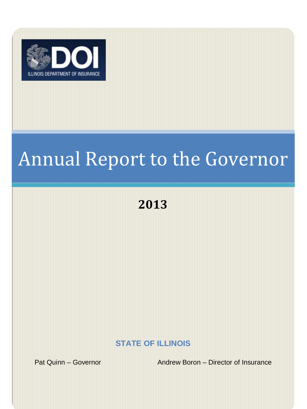

# Annual Report to the Governor

# **2013**

**STATE OF ILLINOIS**

Pat Quinn – Governor **Andrew Boron – Director of Insurance**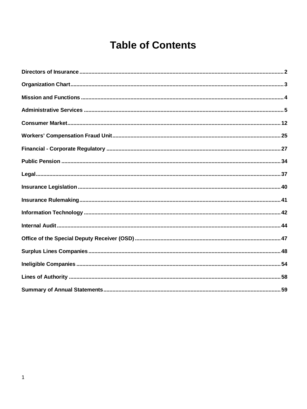# **Table of Contents**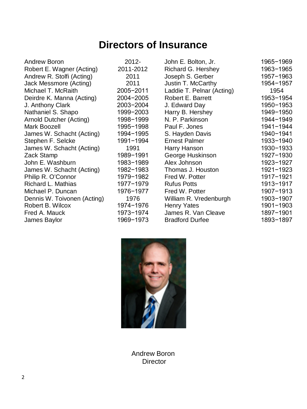# **Directors of Insurance**

<span id="page-2-0"></span>

| Dennis W. Toivonen (Acting)<br>1976<br>William R. Vredenburgh<br>Robert B. Wilcox<br>1974-1976<br><b>Henry Yates</b><br>1973-1974<br>James R. Van Cleave<br>Fred A. Mauck<br>1969-1973<br><b>Bradford Durfee</b><br>James Baylor | Jack Messmore (Acting)<br>2011<br>Michael T. McRaith<br>2005-2011<br>Deirdre K. Manna (Acting)<br>2004-2005<br>J. Anthony Clark<br>2003-2004<br>Nathaniel S. Shapo<br>1999-2003<br>Arnold Dutcher (Acting)<br>1998-1999<br>Mark Boozell<br>1995-1998<br>James W. Schacht (Acting)<br>1994-1995<br>Stephen F. Selcke<br>1991-1994<br>James W. Schacht (Acting)<br>1991<br>Zack Stamp<br>1989-1991<br>John E. Washburn<br>1983-1989<br>James W. Schacht (Acting)<br>1982-1983<br>Philip R. O'Connor<br>1979-1982<br>Richard L. Mathias<br>1977-1979<br>Michael P. Duncan<br>1976-1977 | <b>Robert E. Barrett</b><br>J. Edward Day<br>Harry B. Hershey<br>N. P. Parkinson<br>Paul F. Jones<br>S. Hayden Davis<br><b>Ernest Palmer</b><br>Harry Hanson<br>George Huskinson<br>Alex Johnson<br>Thomas J. Houston<br>Fred W. Potter<br><b>Rufus Potts</b><br>Fred W. Potter | 1953-1954<br>1950-1953<br>1949-1950<br>1944-1949<br>1941-1944<br>1940-1941<br>1933-1940<br>1930-1933<br>1927-1930<br>1923-1927<br>1921-1923<br>1917-1921<br>1913-1917<br>1907-1913<br>1903-1907<br>1901-1903<br>1897-1901<br>1893-1897 |
|----------------------------------------------------------------------------------------------------------------------------------------------------------------------------------------------------------------------------------|-------------------------------------------------------------------------------------------------------------------------------------------------------------------------------------------------------------------------------------------------------------------------------------------------------------------------------------------------------------------------------------------------------------------------------------------------------------------------------------------------------------------------------------------------------------------------------------|---------------------------------------------------------------------------------------------------------------------------------------------------------------------------------------------------------------------------------------------------------------------------------|----------------------------------------------------------------------------------------------------------------------------------------------------------------------------------------------------------------------------------------|
|----------------------------------------------------------------------------------------------------------------------------------------------------------------------------------------------------------------------------------|-------------------------------------------------------------------------------------------------------------------------------------------------------------------------------------------------------------------------------------------------------------------------------------------------------------------------------------------------------------------------------------------------------------------------------------------------------------------------------------------------------------------------------------------------------------------------------------|---------------------------------------------------------------------------------------------------------------------------------------------------------------------------------------------------------------------------------------------------------------------------------|----------------------------------------------------------------------------------------------------------------------------------------------------------------------------------------------------------------------------------------|



Andrew Boron Director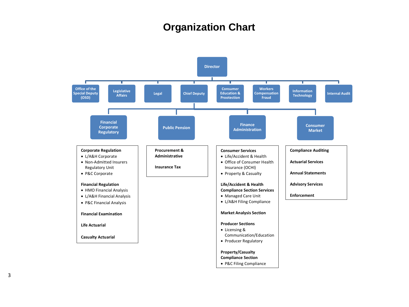# **Organization Chart**

<span id="page-3-0"></span>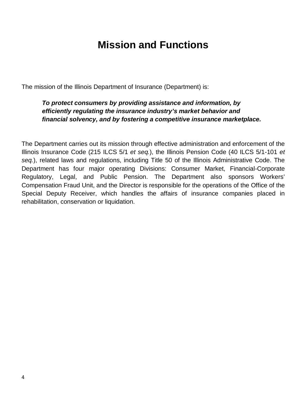# **Mission and Functions**

<span id="page-4-0"></span>The mission of the Illinois Department of Insurance (Department) is:

#### *To protect consumers by providing assistance and information, by efficiently regulating the insurance industry's market behavior and financial solvency, and by fostering a competitive insurance marketplace.*

The Department carries out its mission through effective administration and enforcement of the Illinois Insurance Code (215 ILCS 5/1 *et seq.*), the Illinois Pension Code (40 ILCS 5/1-101 *et seq.*), related laws and regulations, including Title 50 of the Illinois Administrative Code. The Department has four major operating Divisions: Consumer Market, Financial-Corporate Regulatory, Legal, and Public Pension. The Department also sponsors Workers' Compensation Fraud Unit, and the Director is responsible for the operations of the Office of the Special Deputy Receiver, which handles the affairs of insurance companies placed in rehabilitation, conservation or liquidation.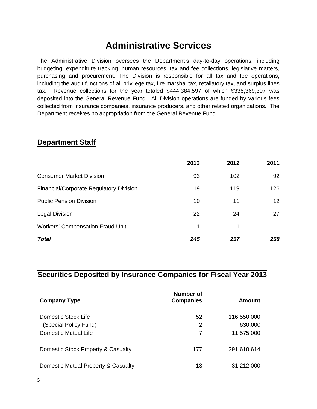# **Administrative Services**

<span id="page-5-0"></span>The Administrative Division oversees the Department's day-to-day operations, including budgeting, expenditure tracking, human resources, tax and fee collections, legislative matters, purchasing and procurement. The Division is responsible for all tax and fee operations, including the audit functions of all privilege tax, fire marshal tax, retaliatory tax, and surplus lines tax. Revenue collections for the year totaled \$444,384,597 of which \$335,369,397 was deposited into the General Revenue Fund. All Division operations are funded by various fees collected from insurance companies, insurance producers, and other related organizations. The Department receives no appropriation from the General Revenue Fund.

#### **Department Staff**

|                                         | 2013 | 2012 | 2011 |
|-----------------------------------------|------|------|------|
| <b>Consumer Market Division</b>         | 93   | 102  | 92   |
| Financial/Corporate Regulatory Division | 119  | 119  | 126  |
| <b>Public Pension Division</b>          | 10   | 11   | 12   |
| <b>Legal Division</b>                   | 22   | 24   | 27   |
| <b>Workers' Compensation Fraud Unit</b> | 1    | 1    | 1    |
| <b>Total</b>                            | 245  | 257  | 258  |

#### **Securities Deposited by Insurance Companies for Fiscal Year 2013**

| <b>Company Type</b>                 | <b>Number of</b><br><b>Companies</b> | Amount      |
|-------------------------------------|--------------------------------------|-------------|
| Domestic Stock Life                 | 52                                   | 116,550,000 |
| (Special Policy Fund)               | 2                                    | 630,000     |
| Domestic Mutual Life                | 7                                    | 11,575,000  |
| Domestic Stock Property & Casualty  | 177                                  | 391,610,614 |
| Domestic Mutual Property & Casualty | 13                                   | 31,212,000  |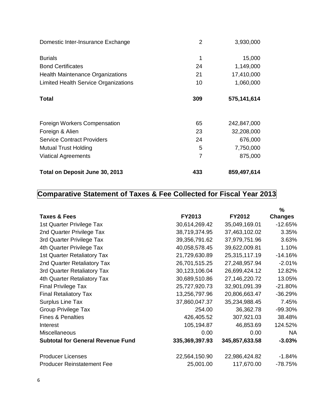| Domestic Inter-Insurance Exchange           | $\overline{2}$ | 3,930,000   |
|---------------------------------------------|----------------|-------------|
| <b>Burials</b>                              | 1              | 15,000      |
| <b>Bond Certificates</b>                    | 24             | 1,149,000   |
| <b>Health Maintenance Organizations</b>     | 21             | 17,410,000  |
| <b>Limited Health Service Organizations</b> | 10             | 1,060,000   |
| <b>Total</b>                                | 309            | 575,141,614 |
| Foreign Workers Compensation                | 65             | 242,847,000 |
| Foreign & Alien                             | 23             | 32,208,000  |
| <b>Service Contract Providers</b>           | 24             | 676,000     |
| <b>Mutual Trust Holding</b>                 | 5              | 7,750,000   |
| <b>Viatical Agreements</b>                  | 7              | 875,000     |
| Total on Deposit June 30, 2013              | 433            | 859,497,614 |

# **Comparative Statement of Taxes & Fee Collected for Fiscal Year 2013**

| Taxes & Fees                             | FY2013         | <b>FY2012</b>  | $\%$<br><b>Changes</b> |
|------------------------------------------|----------------|----------------|------------------------|
| 1st Quarter Privilege Tax                | 30,614,269.42  | 35,049,169.01  | $-12.65%$              |
| 2nd Quarter Privilege Tax                | 38,719,374.95  | 37,463,102.02  | 3.35%                  |
| 3rd Quarter Privilege Tax                | 39,356,791.62  | 37,979,751.96  | 3.63%                  |
| 4th Quarter Privilege Tax                | 40,058,578.45  | 39,622,009.81  | 1.10%                  |
| 1st Quarter Retaliatory Tax              | 21,729,630.89  | 25,315,117.19  | $-14.16%$              |
| 2nd Quarter Retaliatory Tax              | 26,701,515.25  | 27,248,957.94  | $-2.01%$               |
| 3rd Quarter Retaliatory Tax              | 30,123,106.04  | 26,699,424.12  | 12.82%                 |
| 4th Quarter Retaliatory Tax              | 30,689,510.86  | 27,146,220.72  | 13.05%                 |
| <b>Final Privilege Tax</b>               | 25,727,920.73  | 32,901,091.39  | $-21.80%$              |
| <b>Final Retaliatory Tax</b>             | 13,256,797.96  | 20,806,663.47  | $-36.29%$              |
| <b>Surplus Line Tax</b>                  | 37,860,047.37  | 35,234,988.45  | 7.45%                  |
| <b>Group Privilege Tax</b>               | 254.00         | 36,362.78      | -99.30%                |
| <b>Fines &amp; Penalties</b>             | 426,405.52     | 307,921.03     | 38.48%                 |
| Interest                                 | 105,194.87     | 46,853.69      | 124.52%                |
| <b>Miscellaneous</b>                     | 0.00           | 0.00           | <b>NA</b>              |
| <b>Subtotal for General Revenue Fund</b> | 335,369,397.93 | 345,857,633.58 | $-3.03%$               |
| <b>Producer Licenses</b>                 | 22,564,150.90  | 22,986,424.82  | $-1.84%$               |
| <b>Producer Reinstatement Fee</b>        | 25,001.00      | 117,670.00     | -78.75%                |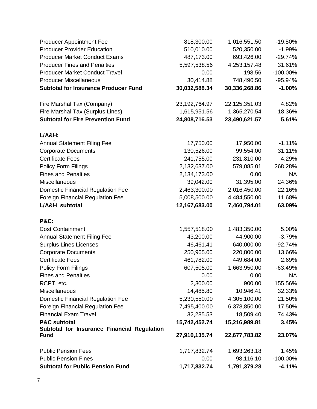| <b>Producer Appointment Fee</b>                            | 818,300.00       | 1,016,551.50  | $-19.50%$  |
|------------------------------------------------------------|------------------|---------------|------------|
| <b>Producer Provider Education</b>                         | 510,010.00       | 520,350.00    | $-1.99%$   |
| <b>Producer Market Conduct Exams</b>                       | 487,173.00       | 693,426.00    | $-29.74%$  |
| <b>Producer Fines and Penalties</b>                        | 5,597,538.56     | 4,253,157.48  | 31.61%     |
| <b>Producer Market Conduct Travel</b>                      | 0.00             | 198.56        | -100.00%   |
| <b>Producer Miscellaneous</b>                              | 30,414.88        | 748,490.50    | -95.94%    |
| <b>Subtotal for Insurance Producer Fund</b>                | 30,032,588.34    | 30,336,268.86 | $-1.00%$   |
| Fire Marshal Tax (Company)                                 | 23, 192, 764. 97 | 22,125,351.03 | 4.82%      |
| Fire Marshal Tax (Surplus Lines)                           | 1,615,951.56     | 1,365,270.54  | 18.36%     |
| <b>Subtotal for Fire Prevention Fund</b>                   | 24,808,716.53    | 23,490,621.57 | 5.61%      |
| $L/A&H$ :                                                  |                  |               |            |
| <b>Annual Statement Filing Fee</b>                         | 17,750.00        | 17,950.00     | $-1.11%$   |
| <b>Corporate Documents</b>                                 | 130,526.00       | 99,554.00     | 31.11%     |
| <b>Certificate Fees</b>                                    | 241,755.00       | 231,810.00    | 4.29%      |
| Policy Form Filings                                        | 2,132,637.00     | 579,085.01    | 268.28%    |
| <b>Fines and Penalties</b>                                 | 2,134,173.00     | 0.00          | <b>NA</b>  |
| Miscellaneous                                              | 39,042.00        | 31,395.00     | 24.36%     |
| <b>Domestic Financial Regulation Fee</b>                   | 2,463,300.00     | 2,016,450.00  | 22.16%     |
| <b>Foreign Financial Regulation Fee</b>                    | 5,008,500.00     | 4,484,550.00  | 11.68%     |
| L/A&H subtotal                                             | 12,167,683.00    | 7,460,794.01  | 63.09%     |
| <b>P&amp;C:</b>                                            |                  |               |            |
| <b>Cost Containment</b>                                    | 1,557,518.00     | 1,483,350.00  | 5.00%      |
| <b>Annual Statement Filing Fee</b>                         | 43,200.00        | 44,900.00     | $-3.79%$   |
| <b>Surplus Lines Licenses</b>                              | 46,461.41        | 640,000.00    | $-92.74%$  |
| <b>Corporate Documents</b>                                 | 250,965.00       | 220,800.00    | 13.66%     |
| <b>Certificate Fees</b>                                    | 461,782.00       | 449,684.00    | 2.69%      |
| Policy Form Filings                                        | 607,505.00       | 1,663,950.00  | $-63.49%$  |
| <b>Fines and Penalties</b>                                 | 0.00             | 0.00          | <b>NA</b>  |
| RCPT, etc.                                                 | 2,300.00         | 900.00        | 155.56%    |
| Miscellaneous                                              | 14,485.80        | 10,946.41     | 32.33%     |
| <b>Domestic Financial Regulation Fee</b>                   | 5,230,550.00     | 4,305,100.00  | 21.50%     |
| Foreign Financial Regulation Fee                           | 7,495,400.00     | 6,378,850.00  | 17.50%     |
| <b>Financial Exam Travel</b>                               | 32,285.53        | 18,509.40     | 74.43%     |
| <b>P&amp;C subtotal</b>                                    | 15,742,452.74    | 15,216,989.81 | 3.45%      |
| Subtotal for Insurance Financial Regulation<br><b>Fund</b> | 27,910,135.74    | 22,677,783.82 | 23.07%     |
| <b>Public Pension Fees</b>                                 | 1,717,832.74     | 1,693,263.18  | 1.45%      |
| <b>Public Pension Fines</b>                                | 0.00             | 98,116.10     | $-100.00%$ |
| <b>Subtotal for Public Pension Fund</b>                    | 1,717,832.74     | 1,791,379.28  | $-4.11%$   |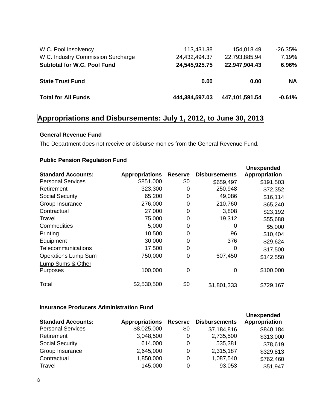| W.C. Pool Insolvency               | 113,431.38     | 154,018.49     | $-26.35%$ |
|------------------------------------|----------------|----------------|-----------|
| W.C. Industry Commission Surcharge | 24,432,494.37  | 22,793,885.94  | 7.19%     |
| <b>Subtotal for W.C. Pool Fund</b> | 24,545,925.75  | 22,947,904.43  | 6.96%     |
| <b>State Trust Fund</b>            | 0.00           | 0.00           | <b>NA</b> |
| <b>Total for All Funds</b>         | 444,384,597.03 | 447,101,591.54 | $-0.61%$  |

### **Appropriations and Disbursements: July 1, 2012, to June 30, 2013**

#### **General Revenue Fund**

The Department does not receive or disburse monies from the General Revenue Fund.

#### **Public Pension Regulation Fund**

| <b>Standard Accounts:</b>  | <b>Appropriations</b> | <b>Reserve</b> | <b>Disbursements</b> | <b>Unexpended</b><br>Appropriation |
|----------------------------|-----------------------|----------------|----------------------|------------------------------------|
| <b>Personal Services</b>   | \$851,000             | \$0            | \$659,497            | \$191,503                          |
| Retirement                 | 323,300               | 0              | 250,948              | \$72,352                           |
| <b>Social Security</b>     | 65,200                | 0              | 49,086               | \$16,114                           |
| Group Insurance            | 276,000               | 0              | 210,760              | \$65,240                           |
| Contractual                | 27,000                | 0              | 3,808                | \$23,192                           |
| Travel                     | 75,000                | 0              | 19,312               | \$55,688                           |
| Commodities                | 5,000                 | 0              | O                    | \$5,000                            |
| Printing                   | 10,500                | 0              | 96                   | \$10,404                           |
| Equipment                  | 30,000                | 0              | 376                  | \$29,624                           |
| Telecommunications         | 17,500                | 0              | O                    | \$17,500                           |
| <b>Operations Lump Sum</b> | 750,000               | 0              | 607,450              | \$142,550                          |
| Lump Sums & Other          |                       |                |                      |                                    |
| Purposes                   | 100,000               | $\overline{0}$ | $\overline{0}$       | \$100,000                          |
| Total                      | \$2,530,500           | <u>\$0</u>     | \$1,801,333          | \$729,167                          |

#### **Insurance Producers Administration Fund**

| <b>Standard Accounts:</b> | <b>Appropriations</b> | <b>Reserve</b> | <b>Disbursements</b> | <b>Unexpended</b><br>Appropriation |
|---------------------------|-----------------------|----------------|----------------------|------------------------------------|
| <b>Personal Services</b>  | \$8,025,000           | \$0            | \$7,184,816          | \$840,184                          |
| Retirement                | 3,048,500             | 0              | 2,735,500            | \$313,000                          |
| <b>Social Security</b>    | 614,000               | 0              | 535,381              | \$78,619                           |
| Group Insurance           | 2,645,000             | 0              | 2,315,187            | \$329,813                          |
| Contractual               | 1,850,000             | 0              | 1,087,540            | \$762,460                          |
| Travel                    | 145,000               | 0              | 93,053               | \$51,947                           |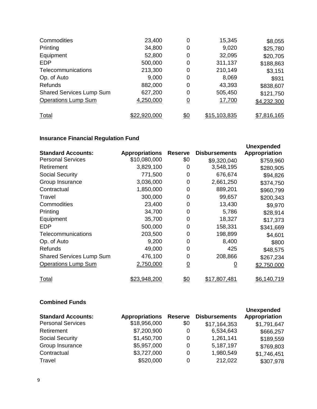| Commodities                     | 23,400       | 0          | 15,345       | \$8,055     |
|---------------------------------|--------------|------------|--------------|-------------|
| Printing                        | 34,800       | 0          | 9,020        | \$25,780    |
| Equipment                       | 52,800       | 0          | 32,095       | \$20,705    |
| <b>EDP</b>                      | 500,000      | 0          | 311,137      | \$188,863   |
| Telecommunications              | 213,300      | 0          | 210,149      | \$3,151     |
| Op. of Auto                     | 9,000        | 0          | 8,069        | \$931       |
| <b>Refunds</b>                  | 882,000      | 0          | 43,393       | \$838,607   |
| <b>Shared Services Lump Sum</b> | 627,200      | 0          | 505,450      | \$121,750   |
| <b>Operations Lump Sum</b>      | 4,250,000    | 0          | 17,700       | \$4,232,300 |
| <b>Total</b>                    | \$22,920,000 | <u>\$0</u> | \$15,103,835 | \$7,816,165 |

### **Insurance Financial Regulation Fund**

|                                 |                       |                |                      | <b>Unexpended</b> |
|---------------------------------|-----------------------|----------------|----------------------|-------------------|
| <b>Standard Accounts:</b>       | <b>Appropriations</b> | <b>Reserve</b> | <b>Disbursements</b> | Appropriation     |
| <b>Personal Services</b>        | \$10,080,000          | \$0            | \$9,320,040          | \$759,960         |
| Retirement                      | 3,829,100             | 0              | 3,548,195            | \$280,905         |
| <b>Social Security</b>          | 771,500               | 0              | 676,674              | \$94,826          |
| Group Insurance                 | 3,036,000             | 0              | 2,661,250            | \$374,750         |
| Contractual                     | 1,850,000             | 0              | 889,201              | \$960,799         |
| Travel                          | 300,000               | 0              | 99,657               | \$200,343         |
| Commodities                     | 23,400                | 0              | 13,430               | \$9,970           |
| Printing                        | 34,700                | 0              | 5,786                | \$28,914          |
| Equipment                       | 35,700                | 0              | 18,327               | \$17,373          |
| EDP                             | 500,000               | 0              | 158,331              | \$341,669         |
| Telecommunications              | 203,500               | 0              | 198,899              | \$4,601           |
| Op. of Auto                     | 9,200                 | 0              | 8,400                | \$800             |
| Refunds                         | 49,000                | 0              | 425                  | \$48,575          |
| <b>Shared Services Lump Sum</b> | 476,100               | 0              | 208,866              | \$267,234         |
| <b>Operations Lump Sum</b>      | 2,750,000             | $\overline{0}$ | <u>0</u>             | \$2,750,000       |
| Total                           | \$23,948,200          | \$0            | \$17,807,481         | \$6,140,719       |

#### **Combined Funds**

| <b>Standard Accounts:</b> | <b>Appropriations</b> | <b>Reserve</b> | <b>Disbursements</b> | <b>Unexpended</b><br>Appropriation |
|---------------------------|-----------------------|----------------|----------------------|------------------------------------|
| <b>Personal Services</b>  | \$18,956,000          | \$0            | \$17,164,353         | \$1,791,647                        |
| Retirement                | \$7,200,900           | 0              | 6,534,643            | \$666,257                          |
| <b>Social Security</b>    | \$1,450,700           | 0              | 1,261,141            | \$189,559                          |
| Group Insurance           | \$5,957,000           | 0              | 5,187,197            | \$769,803                          |
| Contractual               | \$3,727,000           | 0              | 1,980,549            | \$1,746,451                        |
| Travel                    | \$520,000             | 0              | 212,022              | \$307,978                          |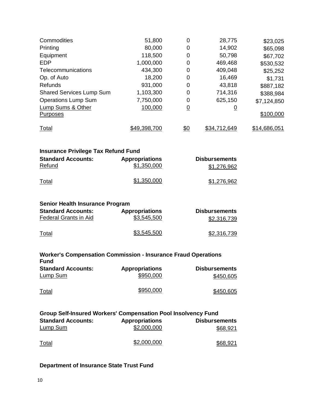| Commodities<br>Printing<br>Equipment<br><b>EDP</b><br>Telecommunications<br>Op. of Auto<br>Refunds<br><b>Shared Services Lump Sum</b><br><b>Operations Lump Sum</b><br>Lump Sums & Other<br><b>Purposes</b> | 51,800<br>80,000<br>118,500<br>1,000,000<br>434,300<br>18,200<br>931,000<br>1,103,300<br>7,750,000<br>100,000 | 0<br>0<br>0<br>0<br>0<br>0<br>0<br>0<br>0<br>$\overline{0}$ | 28,775<br>14,902<br>50,798<br>469,468<br>409,048<br>16,469<br>43,818<br>714,316<br>625,150<br>$\overline{0}$ | \$23,025<br>\$65,098<br>\$67,702<br>\$530,532<br>\$25,252<br>\$1,731<br>\$887,182<br>\$388,984<br>\$7,124,850<br>\$100,000 |
|-------------------------------------------------------------------------------------------------------------------------------------------------------------------------------------------------------------|---------------------------------------------------------------------------------------------------------------|-------------------------------------------------------------|--------------------------------------------------------------------------------------------------------------|----------------------------------------------------------------------------------------------------------------------------|
| <b>Total</b>                                                                                                                                                                                                | \$49,398,700                                                                                                  | \$0                                                         | \$34,712,649                                                                                                 | \$14,686,051                                                                                                               |
| <b>Insurance Privilege Tax Refund Fund</b><br><b>Standard Accounts:</b><br><b>Refund</b>                                                                                                                    | <b>Appropriations</b><br>\$1,350,000<br>\$1,350,000                                                           |                                                             | <b>Disbursements</b><br>\$1,276,962                                                                          |                                                                                                                            |
| Total                                                                                                                                                                                                       |                                                                                                               |                                                             | \$1,276,962                                                                                                  |                                                                                                                            |
| <b>Senior Health Insurance Program</b><br><b>Standard Accounts:</b><br>Federal Grants in Aid                                                                                                                | <b>Appropriations</b><br>\$3,545,500                                                                          |                                                             | <b>Disbursements</b><br>\$2,316,739                                                                          |                                                                                                                            |
| <b>Total</b>                                                                                                                                                                                                | \$3,545,500                                                                                                   |                                                             | \$2,316,739                                                                                                  |                                                                                                                            |
| <b>Worker's Compensation Commission - Insurance Fraud Operations</b><br><b>Fund</b>                                                                                                                         |                                                                                                               |                                                             |                                                                                                              |                                                                                                                            |
| <b>Standard Accounts:</b><br><b>Lump Sum</b>                                                                                                                                                                | <b>Appropriations</b><br>\$950,000                                                                            |                                                             | <b>Disbursements</b><br>\$450,605                                                                            |                                                                                                                            |
| Total                                                                                                                                                                                                       | \$950,000                                                                                                     |                                                             | \$450,605                                                                                                    |                                                                                                                            |
| Group Self-Insured Workers' Compensation Pool Insolvency Fund                                                                                                                                               |                                                                                                               |                                                             |                                                                                                              |                                                                                                                            |
| <b>Standard Accounts:</b><br><b>Lump Sum</b>                                                                                                                                                                | <b>Appropriations</b><br>\$2,000,000                                                                          |                                                             | <b>Disbursements</b><br>\$68,921                                                                             |                                                                                                                            |
| Total                                                                                                                                                                                                       | \$2,000,000                                                                                                   |                                                             | \$68,921                                                                                                     |                                                                                                                            |

### **Department of Insurance State Trust Fund**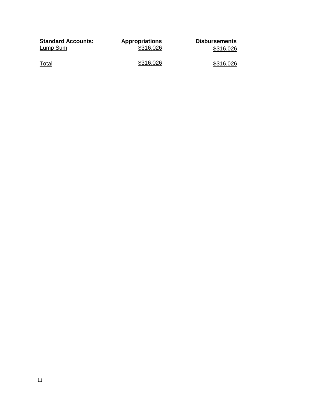| <b>Standard Accounts:</b> | <b>Appropriations</b> | <b>Disbursements</b> |
|---------------------------|-----------------------|----------------------|
| Lump Sum                  | \$316,026             | \$316,026            |
| Total                     | \$316,026             | \$316,026            |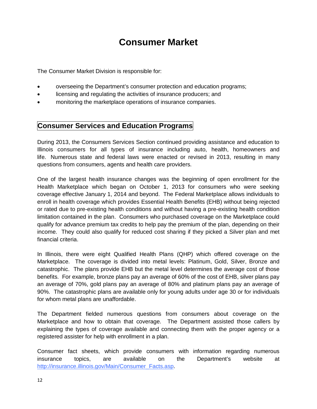# **Consumer Market**

<span id="page-12-0"></span>The Consumer Market Division is responsible for:

- overseeing the Department's consumer protection and education programs;
- licensing and regulating the activities of insurance producers; and
- monitoring the marketplace operations of insurance companies.

#### **Consumer Services and Education Programs**

During 2013, the Consumers Services Section continued providing assistance and education to Illinois consumers for all types of insurance including auto, health, homeowners and life. Numerous state and federal laws were enacted or revised in 2013, resulting in many questions from consumers, agents and health care providers.

One of the largest health insurance changes was the beginning of open enrollment for the Health Marketplace which began on October 1, 2013 for consumers who were seeking coverage effective January 1, 2014 and beyond. The Federal Marketplace allows individuals to enroll in health coverage which provides Essential Health Benefits (EHB) without being rejected or rated due to pre-existing health conditions and without having a pre-existing health condition limitation contained in the plan. Consumers who purchased coverage on the Marketplace could qualify for advance premium tax credits to help pay the premium of the plan, depending on their income. They could also qualify for reduced cost sharing if they picked a Silver plan and met financial criteria.

In Illinois, there were eight Qualified Health Plans (QHP) which offered coverage on the Marketplace. The coverage is divided into metal levels: Platinum, Gold, Silver, Bronze and catastrophic. The plans provide EHB but the metal level determines the average cost of those benefits. For example, bronze plans pay an average of 60% of the cost of EHB, silver plans pay an average of 70%, gold plans pay an average of 80% and platinum plans pay an average of 90%. The catastrophic plans are available only for young adults under age 30 or for individuals for whom metal plans are unaffordable.

The Department fielded numerous questions from consumers about coverage on the Marketplace and how to obtain that coverage. The Department assisted those callers by explaining the types of coverage available and connecting them with the proper agency or a registered assister for help with enrollment in a plan.

Consumer fact sheets, which provide consumers with information regarding numerous insurance topics, are available on the Department's website at [http://insurance.illinois.gov/Main/Consumer\\_Facts.asp.](http://insurance.illinois.gov/Main/Consumer_Facts.asp)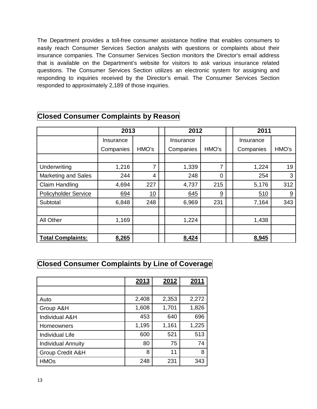The Department provides a toll-free consumer assistance hotline that enables consumers to easily reach Consumer Services Section analysts with questions or complaints about their insurance companies. The Consumer Services Section monitors the Director's email address that is available on the Department's website for visitors to ask various insurance related questions. The Consumer Services Section utilizes an electronic system for assigning and responding to inquiries received by the Director's email. The Consumer Services Section responded to approximately 2,189 of those inquiries.

|                            |           | 2013<br>2012 |  |           |          | 2011 |           |       |
|----------------------------|-----------|--------------|--|-----------|----------|------|-----------|-------|
|                            | Insurance |              |  | Insurance |          |      | Insurance |       |
|                            | Companies | HMO's        |  | Companies | HMO's    |      | Companies | HMO's |
|                            |           |              |  |           |          |      |           |       |
| Underwriting               | 1,216     | 7            |  | 1,339     | 7        |      | 1,224     | 19    |
| <b>Marketing and Sales</b> | 244       | 4            |  | 248       | $\Omega$ |      | 254       | 3     |
| <b>Claim Handling</b>      | 4,694     | 227          |  | 4,737     | 215      |      | 5,176     | 312   |
| Policyholder Service       | 694       | 10           |  | 645       | 9        |      | 510       | 9     |
| Subtotal                   | 6,848     | 248          |  | 6,969     | 231      |      | 7,164     | 343   |
|                            |           |              |  |           |          |      |           |       |
| All Other                  | 1,169     |              |  | 1,224     |          |      | 1,438     |       |
|                            |           |              |  |           |          |      |           |       |
| <b>Total Complaints:</b>   | 8,265     |              |  | 8,424     |          |      | 8,945     |       |

#### **Closed Consumer Complaints by Reason**

#### **Closed Consumer Complaints by Line of Coverage**

|                           | 2013  | 2012  | 2011  |
|---------------------------|-------|-------|-------|
|                           |       |       |       |
| Auto                      | 2,408 | 2,353 | 2,272 |
| Group A&H                 | 1,608 | 1,701 | 1,826 |
| Individual A&H            | 453   | 640   | 696   |
| Homeowners                | 1,195 | 1,161 | 1,225 |
| <b>Individual Life</b>    | 600   | 521   | 513   |
| <b>Individual Annuity</b> | 80    | 75    | 74    |
| Group Credit A&H          | 8     | 11    | 8     |
| <b>HMOs</b>               | 248   | 231   | 343   |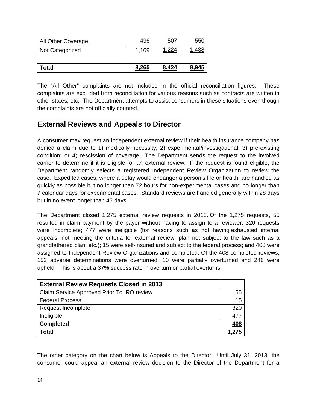| All Other Coverage | 496   | 507   | 550   |
|--------------------|-------|-------|-------|
| Not Categorized    | 1,169 | .224  |       |
|                    |       |       |       |
| Total              | 8.265 | 8,424 | 8.945 |

The "All Other" complaints are not included in the official reconciliation figures. These complaints are excluded from reconciliation for various reasons such as contracts are written in other states, etc. The Department attempts to assist consumers in these situations even though the complaints are not officially counted.

#### **External Reviews and Appeals to Director**

A consumer may request an independent external review if their health insurance company has denied a claim due to 1) medically necessity; 2) experimental/investigational; 3) pre-existing condition; or 4) rescission of coverage. The Department sends the request to the involved carrier to determine if it is eligible for an external review. If the request is found eligible, the Department randomly selects a registered Independent Review Organization to review the case. Expedited cases, where a delay would endanger a person's life or health, are handled as quickly as possible but no longer than 72 hours for non-experimental cases and no longer than 7 calendar days for experimental cases. Standard reviews are handled generally within 28 days but in no event longer than 45 days.

The Department closed 1,275 external review requests in 2013. Of the 1,275 requests, 55 resulted in claim payment by the payer without having to assign to a reviewer; 320 requests were incomplete; 477 were ineligible (for reasons such as not having exhausted internal appeals, not meeting the criteria for external review, plan not subject to the law such as a grandfathered plan, etc.); 15 were self-insured and subject to the federal process; and 408 were assigned to Independent Review Organizations and completed. Of the 408 completed reviews, 152 adverse determinations were overturned, 10 were partially overturned and 246 were upheld. This is about a 37% success rate in overturn or partial overturns.

| <b>External Review Requests Closed in 2013</b> |            |
|------------------------------------------------|------------|
| Claim Service Approved Prior To IRO review     | 55         |
| <b>Federal Process</b>                         | 15         |
| Request Incomplete                             | 320        |
| Ineligible                                     | 477        |
| <b>Completed</b>                               | <u>408</u> |
| <b>Total</b>                                   | 1,275      |

The other category on the chart below is Appeals to the Director. Until July 31, 2013, the consumer could appeal an external review decision to the Director of the Department for a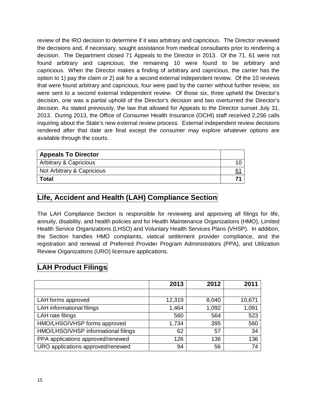review of the IRO decision to determine if it was arbitrary and capricious. The Director reviewed the decisions and, if necessary, sought assistance from medical consultants prior to rendering a decision. The Department closed 71 Appeals to the Director in 2013. Of the 71, 61 were not found arbitrary and capricious; the remaining 10 were found to be arbitrary and capricious. When the Director makes a finding of arbitrary and capricious, the carrier has the option to 1) pay the claim or 2) ask for a second external independent review. Of the 10 reviews that were found arbitrary and capricious, four were paid by the carrier without further review; six were sent to a second external independent review. Of those six, three upheld the Director's decision, one was a partial uphold of the Director's decision and two overturned the Director's decision. As stated previously, the law that allowed for Appeals to the Director sunset July 31, 2013. During 2013, the Office of Consumer Health Insurance (OCHI) staff received 2,256 calls inquiring about the State's new external review process. External independent review decisions rendered after that date are final except the consumer may explore whatever options are available through the courts.

| <b>Appeals To Director</b> |  |
|----------------------------|--|
| Arbitrary & Capricious     |  |
| Not Arbitrary & Capricious |  |
| Total                      |  |

### **Life, Accident and Health (LAH) Compliance Section**

The LAH Compliance Section is responsible for reviewing and approving all filings for life, annuity, disability, and health policies and for Health Maintenance Organizations (HMO), Limited Health Service Organizations (LHSO) and Voluntary Health Services Plans (VHSP). In addition, the Section handles HMO complaints, viatical settlement provider compliance, and the registration and renewal of Preferred Provider Program Administrators (PPA), and Utilization Review Organizations (URO) licensure applications.

### **LAH Product Filings**

|                                     | 2013   | 2012  | 2011   |
|-------------------------------------|--------|-------|--------|
|                                     |        |       |        |
| LAH forms approved                  | 12,319 | 8,040 | 10,671 |
| LAH informational filings           | 1,464  | 1,092 | 1,091  |
| LAH rate filings                    | 560    | 564   | 523    |
| HMO/LHSO/VHSP forms approved        | 1,734  | 395   | 560    |
| HMO/LHSO/VHSP informational filings | 62     | 57    | 34     |
| PPA applications approved/renewed   | 126    | 136   | 136    |
| URO applications approved/renewed   | 94     | 56    | 74     |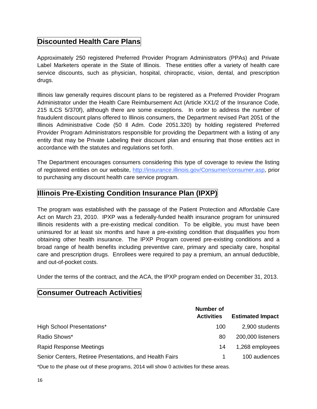#### **Discounted Health Care Plans**

Approximately 250 registered Preferred Provider Program Administrators (PPAs) and Private Label Marketers operate in the State of Illinois. These entities offer a variety of health care service discounts, such as physician, hospital, chiropractic, vision, dental, and prescription drugs.

Illinois law generally requires discount plans to be registered as a Preferred Provider Program Administrator under the Health Care Reimbursement Act (Article XX1/2 of the Insurance Code, 215 ILCS 5/370f), although there are some exceptions. In order to address the number of fraudulent discount plans offered to Illinois consumers, the Department revised Part 2051 of the Illinois Administrative Code (50 Il Adm. Code 2051.320) by holding registered Preferred Provider Program Administrators responsible for providing the Department with a listing of any entity that may be Private Labeling their discount plan and ensuring that those entities act in accordance with the statutes and regulations set forth.

The Department encourages consumers considering this type of coverage to review the listing of registered entities on our website, [http://insurance.illinois.gov/Consumer/consumer.asp,](http://insurance.illinois.gov/Consumer/consumer.asp) prior to purchasing any discount health care service program.

#### **Illinois Pre-Existing Condition Insurance Plan (IPXP)**

The program was established with the passage of the Patient Protection and Affordable Care Act on March 23, 2010. IPXP was a federally-funded health insurance program for uninsured Illinois residents with a pre-existing medical condition. To be eligible, you must have been uninsured for at least six months and have a pre-existing condition that disqualifies you from obtaining other health insurance. The IPXP Program covered pre-existing conditions and a broad range of health benefits including preventive care, primary and specialty care, hospital care and prescription drugs. Enrollees were required to pay a premium, an annual deductible, and out-of-pocket costs.

Under the terms of the contract, and the ACA, the IPXP program ended on December 31, 2013.

#### **Consumer Outreach Activities**

|                                                         | Number of         |                         |
|---------------------------------------------------------|-------------------|-------------------------|
|                                                         | <b>Activities</b> | <b>Estimated Impact</b> |
| High School Presentations*                              | 100               | 2,900 students          |
| Radio Shows*                                            | 80                | 200,000 listeners       |
| <b>Rapid Response Meetings</b>                          | 14                | 1,268 employees         |
| Senior Centers, Retiree Presentations, and Health Fairs |                   | 100 audiences           |

\*Due to the phase out of these programs, 2014 will show 0 activities for these areas.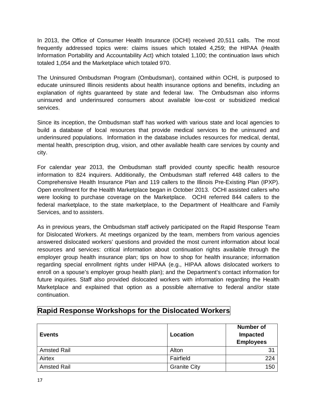In 2013, the Office of Consumer Health Insurance (OCHI) received 20,511 calls. The most frequently addressed topics were: claims issues which totaled 4,259; the HIPAA (Health Information Portability and Accountability Act) which totaled 1,100; the continuation laws which totaled 1,054 and the Marketplace which totaled 970.

The Uninsured Ombudsman Program (Ombudsman), contained within OCHI, is purposed to educate uninsured Illinois residents about health insurance options and benefits, including an explanation of rights guaranteed by state and federal law. The Ombudsman also informs uninsured and underinsured consumers about available low-cost or subsidized medical services.

Since its inception, the Ombudsman staff has worked with various state and local agencies to build a database of local resources that provide medical services to the uninsured and underinsured populations. Information in the database includes resources for medical, dental, mental health, prescription drug, vision, and other available health care services by county and city.

For calendar year 2013, the Ombudsman staff provided county specific health resource information to 824 inquirers. Additionally, the Ombudsman staff referred 448 callers to the Comprehensive Health Insurance Plan and 119 callers to the Illinois Pre-Existing Plan (IPXP). Open enrollment for the Health Marketplace began in October 2013. OCHI assisted callers who were looking to purchase coverage on the Marketplace. OCHI referred 844 callers to the federal marketplace, to the state marketplace, to the Department of Healthcare and Family Services, and to assisters.

As in previous years, the Ombudsman staff actively participated on the Rapid Response Team for Dislocated Workers. At meetings organized by the team, members from various agencies answered dislocated workers' questions and provided the most current information about local resources and services: critical information about continuation rights available through the employer group health insurance plan; tips on how to shop for health insurance; information regarding special enrollment rights under HIPAA (e.g., HIPAA allows dislocated workers to enroll on a spouse's employer group health plan); and the Department's contact information for future inquiries. Staff also provided dislocated workers with information regarding the Health Marketplace and explained that option as a possible alternative to federal and/or state continuation.

| <b>Events</b>      | Location            | <b>Number of</b><br>Impacted<br><b>Employees</b> |
|--------------------|---------------------|--------------------------------------------------|
| <b>Amsted Rail</b> | Alton               | 31                                               |
| Airtex             | Fairfield           | 224                                              |
| <b>Amsted Rail</b> | <b>Granite City</b> | 150                                              |

### **Rapid Response Workshops for the Dislocated Workers**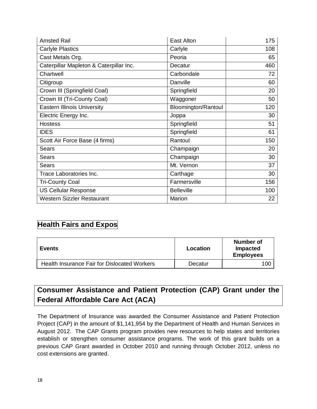| <b>Amsted Rail</b>                      | East Alton          | 175 |
|-----------------------------------------|---------------------|-----|
| <b>Carlyle Plastics</b>                 | Carlyle             | 108 |
| Cast Metals Org.                        | Peoria              | 65  |
| Caterpillar Mapleton & Caterpillar Inc. | Decatur             | 460 |
| Chartwell                               | Carbondale          | 72  |
| Citigroup                               | Danville            | 60  |
| Crown III (Springfield Coal)            | Springfield         | 20  |
| Crown III (Tri-County Coal)             | Waggoner            | 50  |
| <b>Eastern Illinois University</b>      | Bloomington/Rantoul | 120 |
| Electric Energy Inc.                    | Joppa               | 30  |
| <b>Hostess</b>                          | Springfield         | 51  |
| <b>IDES</b>                             | Springfield         | 61  |
| Scott Air Force Base (4 firms)          | Rantoul             | 150 |
| <b>Sears</b>                            | Champaign           | 20  |
| Sears                                   | Champaign           | 30  |
| Sears                                   | Mt. Vernon          | 37  |
| Trace Laboratories Inc.                 | Carthage            | 30  |
| <b>Tri-County Coal</b>                  | Farmersville        | 156 |
| <b>US Cellular Response</b>             | <b>Belleville</b>   | 100 |
| <b>Western Sizzler Restaurant</b>       | Marion              | 22  |

#### **Health Fairs and Expos**

| Events                                       | Location | Number of<br><b>Impacted</b><br><b>Employees</b> |
|----------------------------------------------|----------|--------------------------------------------------|
| Health Insurance Fair for Dislocated Workers | Decatur  | 100                                              |

### **Consumer Assistance and Patient Protection (CAP) Grant under the Federal Affordable Care Act (ACA)**

The Department of Insurance was awarded the Consumer Assistance and Patient Protection Project (CAP) in the amount of \$1,141,954 by the Department of Health and Human Services in August 2012. The CAP Grants program provides new resources to help states and territories establish or strengthen consumer assistance programs. The work of this grant builds on a previous CAP Grant awarded in October 2010 and running through October 2012, unless no cost extensions are granted.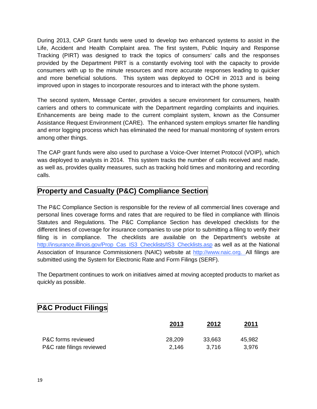During 2013, CAP Grant funds were used to develop two enhanced systems to assist in the Life, Accident and Health Complaint area. The first system, Public Inquiry and Response Tracking (PIRT) was designed to track the topics of consumers' calls and the responses provided by the Department PIRT is a constantly evolving tool with the capacity to provide consumers with up to the minute resources and more accurate responses leading to quicker and more beneficial solutions. This system was deployed to OCHI in 2013 and is being improved upon in stages to incorporate resources and to interact with the phone system.

The second system, Message Center, provides a secure environment for consumers, health carriers and others to communicate with the Department regarding complaints and inquiries. Enhancements are being made to the current complaint system, known as the Consumer Assistance Request Environment (CARE). The enhanced system employs smarter file handling and error logging process which has eliminated the need for manual monitoring of system errors among other things.

The CAP grant funds were also used to purchase a Voice-Over Internet Protocol (VOIP), which was deployed to analysts in 2014. This system tracks the number of calls received and made, as well as, provides quality measures, such as tracking hold times and monitoring and recording calls.

### **Property and Casualty (P&C) Compliance Section**

The P&C Compliance Section is responsible for the review of all commercial lines coverage and personal lines coverage forms and rates that are required to be filed in compliance with Illinois Statutes and Regulations. The P&C Compliance Section has developed checklists for the different lines of coverage for insurance companies to use prior to submitting a filing to verify their filing is in compliance. The checklists are available on the Department's website at [http://insurance.illinois.gov/Prop\\_Cas\\_IS3\\_Checklists/IS3\\_Checklists.asp](http://insurance.illinois.gov/Prop_Cas_IS3_Checklists/IS3_Checklists.asp) as well as at the National Association of Insurance Commissioners (NAIC) website at [http://www.naic.org.](http://www.naic.org/) All filings are submitted using the System for Electronic Rate and Form Filings (SERF).

The Department continues to work on initiatives aimed at moving accepted products to market as quickly as possible.

### **P&C Product Filings**

|                           | 2013   | 2012   | 2011   |  |
|---------------------------|--------|--------|--------|--|
| P&C forms reviewed        | 28,209 | 33,663 | 45,982 |  |
| P&C rate filings reviewed | 2.146  | 3.716  | 3.976  |  |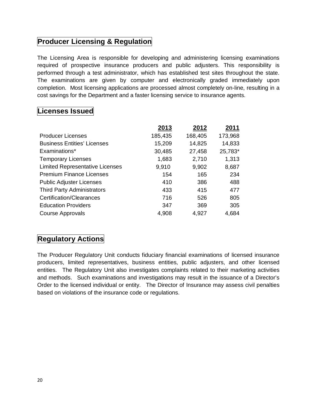### **Producer Licensing & Regulation**

The Licensing Area is responsible for developing and administering licensing examinations required of prospective insurance producers and public adjusters. This responsibility is performed through a test administrator, which has established test sites throughout the state. The examinations are given by computer and electronically graded immediately upon completion. Most licensing applications are processed almost completely on-line, resulting in a cost savings for the Department and a faster licensing service to insurance agents.

#### **Licenses Issued**

|                                        | 2013    | 2012    | 2011    |
|----------------------------------------|---------|---------|---------|
| <b>Producer Licenses</b>               | 185,435 | 168,405 | 173,968 |
| <b>Business Entities' Licenses</b>     | 15,209  | 14,825  | 14,833  |
| Examinations*                          | 30,485  | 27,458  | 25,783* |
| <b>Temporary Licenses</b>              | 1,683   | 2,710   | 1,313   |
| <b>Limited Representative Licenses</b> | 9,910   | 9,902   | 8,687   |
| <b>Premium Finance Licenses</b>        | 154     | 165     | 234     |
| <b>Public Adjuster Licenses</b>        | 410     | 386     | 488     |
| <b>Third Party Administrators</b>      | 433     | 415     | 477     |
| Certification/Clearances               | 716     | 526     | 805     |
| <b>Education Providers</b>             | 347     | 369     | 305     |
| <b>Course Approvals</b>                | 4,908   | 4,927   | 4,684   |

### **Regulatory Actions**

The Producer Regulatory Unit conducts fiduciary financial examinations of licensed insurance producers, limited representatives, business entities, public adjusters, and other licensed entities. The Regulatory Unit also investigates complaints related to their marketing activities and methods. Such examinations and investigations may result in the issuance of a Director's Order to the licensed individual or entity. The Director of Insurance may assess civil penalties based on violations of the insurance code or regulations.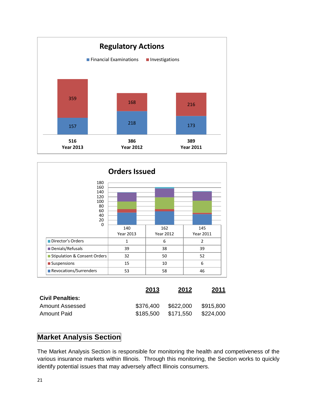



|                         | 2013      | 2012      | 2011      |
|-------------------------|-----------|-----------|-----------|
| <b>Civil Penalties:</b> |           |           |           |
| Amount Assessed         | \$376.400 | \$622,000 | \$915,800 |
| Amount Paid             | \$185.500 | \$171,550 | \$224,000 |

#### **Market Analysis Section**

The Market Analysis Section is responsible for monitoring the health and competiveness of the various insurance markets within Illinois. Through this monitoring, the Section works to quickly identify potential issues that may adversely affect Illinois consumers.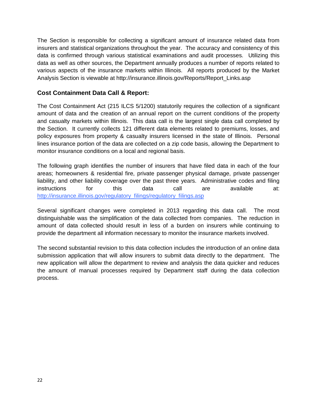The Section is responsible for collecting a significant amount of insurance related data from insurers and statistical organizations throughout the year. The accuracy and consistency of this data is confirmed through various statistical examinations and audit processes. Utilizing this data as well as other sources, the Department annually produces a number of reports related to various aspects of the insurance markets within Illinois. All reports produced by the Market Analysis Section is viewable at http://insurance.illinois.gov/Reports/Report\_Links.asp

#### **Cost Containment Data Call & Report:**

The Cost Containment Act (215 ILCS 5/1200) statutorily requires the collection of a significant amount of data and the creation of an annual report on the current conditions of the property and casualty markets within Illinois. This data call is the largest single data call completed by the Section. It currently collects 121 different data elements related to premiums, losses, and policy exposures from property & casualty insurers licensed in the state of Illinois. Personal lines insurance portion of the data are collected on a zip code basis, allowing the Department to monitor insurance conditions on a local and regional basis.

The following graph identifies the number of insurers that have filed data in each of the four areas; homeowners & residential fire, private passenger physical damage, private passenger liability, and other liability coverage over the past three years. Administrative codes and filing instructions for this data call are available at: [http://insurance.illinois.gov/regulatory\\_filings/regulatory\\_filings.asp](http://insurance.illinois.gov/regulatory_filings/regulatory_filings.asp)

Several significant changes were completed in 2013 regarding this data call. The most distinguishable was the simplification of the data collected from companies. The reduction in amount of data collected should result in less of a burden on insurers while continuing to provide the department all information necessary to monitor the insurance markets involved.

The second substantial revision to this data collection includes the introduction of an online data submission application that will allow insurers to submit data directly to the department. The new application will allow the department to review and analysis the data quicker and reduces the amount of manual processes required by Department staff during the data collection process.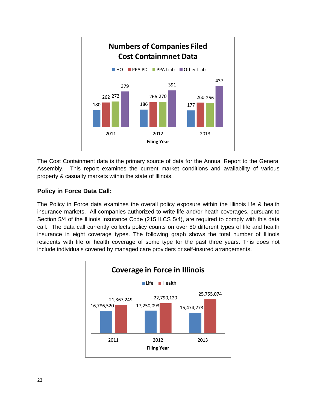

The Cost Containment data is the primary source of data for the Annual Report to the General Assembly. This report examines the current market conditions and availability of various property & casualty markets within the state of Illinois.

#### **Policy in Force Data Call:**

The Policy in Force data examines the overall policy exposure within the Illinois life & health insurance markets. All companies authorized to write life and/or heath coverages, pursuant to Section 5/4 of the Illinois Insurance Code (215 ILCS 5/4), are required to comply with this data call. The data call currently collects policy counts on over 80 different types of life and health insurance in eight coverage types. The following graph shows the total number of Illinois residents with life or health coverage of some type for the past three years. This does not include individuals covered by managed care providers or self-insured arrangements.

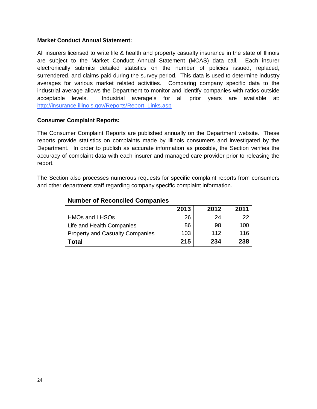#### **Market Conduct Annual Statement:**

All insurers licensed to write life & health and property casualty insurance in the state of Illinois are subject to the Market Conduct Annual Statement (MCAS) data call. Each insurer electronically submits detailed statistics on the number of policies issued, replaced, surrendered, and claims paid during the survey period. This data is used to determine industry averages for various market related activities. Comparing company specific data to the industrial average allows the Department to monitor and identify companies with ratios outside acceptable levels. Industrial average's for all prior years are available at: [http://insurance.illinois.gov/Reports/Report\\_Links.asp](http://insurance.illinois.gov/Reports/Report_Links.asp)

#### **Consumer Complaint Reports:**

The Consumer Complaint Reports are published annually on the Department website. These reports provide statistics on complaints made by Illinois consumers and investigated by the Department. In order to publish as accurate information as possible, the Section verifies the accuracy of complaint data with each insurer and managed care provider prior to releasing the report.

The Section also processes numerous requests for specific complaint reports from consumers and other department staff regarding company specific complaint information.

| <b>Number of Reconciled Companies</b>  |     |     |             |  |  |  |  |
|----------------------------------------|-----|-----|-------------|--|--|--|--|
| 2013<br>2012<br>2011                   |     |     |             |  |  |  |  |
| <b>HMOs and LHSOs</b>                  | 26  | 24  | 22          |  |  |  |  |
| Life and Health Companies              | 86  | 98  | 100         |  |  |  |  |
| <b>Property and Casualty Companies</b> | 103 | 112 | <u> 116</u> |  |  |  |  |
| Total                                  | 215 | 234 | 238         |  |  |  |  |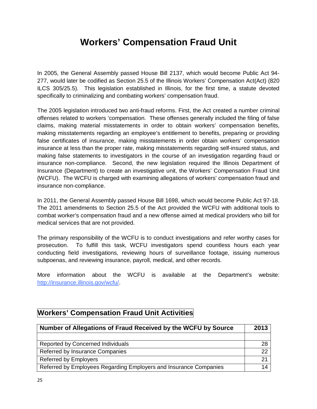## <span id="page-25-0"></span>**Workers' Compensation Fraud Unit**

In 2005, the General Assembly passed House Bill 2137, which would become Public Act 94- 277, would later be codified as Section 25.5 of the Illinois Workers' Compensation Act(Act) (820 ILCS 305/25.5). This legislation established in Illinois, for the first time, a statute devoted specifically to criminalizing and combating workers' compensation fraud.

The 2005 legislation introduced two anti-fraud reforms. First, the Act created a number criminal offenses related to workers 'compensation. These offenses generally included the filing of false claims, making material misstatements in order to obtain workers' compensation benefits, making misstatements regarding an employee's entitlement to benefits, preparing or providing false certificates of insurance, making misstatements in order obtain workers' compensation insurance at less than the proper rate, making misstatements regarding self-insured status, and making false statements to investigators in the course of an investigation regarding fraud or insurance non-compliance. Second, the new legislation required the Illinois Department of Insurance (Department) to create an investigative unit, the Workers' Compensation Fraud Unit (WCFU). The WCFU is charged with examining allegations of workers' compensation fraud and insurance non-compliance.

In 2011, the General Assembly passed House Bill 1698, which would become Public Act 97-18. The 2011 amendments to Section 25.5 of the Act provided the WCFU with additional tools to combat worker's compensation fraud and a new offense aimed at medical providers who bill for medical services that are not provided.

The primary responsibility of the WCFU is to conduct investigations and refer worthy cases for prosecution. To fulfill this task, WCFU investigators spend countless hours each year conducting field investigations, reviewing hours of surveillance footage, issuing numerous subpoenas, and reviewing insurance, payroll, medical, and other records.

More information about the WCFU is available at the Department's website: [http://insurance.illinois.gov/wcfu/.](http://insurance.illinois.gov/wcfu/)

#### **Workers' Compensation Fraud Unit Activities**

| Number of Allegations of Fraud Received by the WCFU by Source     |    |  |
|-------------------------------------------------------------------|----|--|
|                                                                   |    |  |
| Reported by Concerned Individuals                                 | 28 |  |
| Referred by Insurance Companies                                   | 22 |  |
| <b>Referred by Employers</b>                                      | 21 |  |
| Referred by Employees Regarding Employers and Insurance Companies | 14 |  |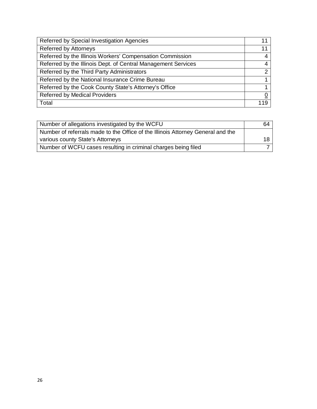| Referred by Special Investigation Agencies                    | 11            |
|---------------------------------------------------------------|---------------|
| Referred by Attorneys                                         | 11            |
| Referred by the Illinois Workers' Compensation Commission     | 4             |
| Referred by the Illinois Dept. of Central Management Services | 4             |
| Referred by the Third Party Administrators                    | $\mathcal{P}$ |
| Referred by the National Insurance Crime Bureau               |               |
| Referred by the Cook County State's Attorney's Office         |               |
| <b>Referred by Medical Providers</b>                          | <u>0</u>      |
| Total                                                         | 119           |

| Number of allegations investigated by the WCFU                                  | 64  |
|---------------------------------------------------------------------------------|-----|
| Number of referrals made to the Office of the Illinois Attorney General and the |     |
| various county State's Attorneys                                                | 18. |
| Number of WCFU cases resulting in criminal charges being filed                  |     |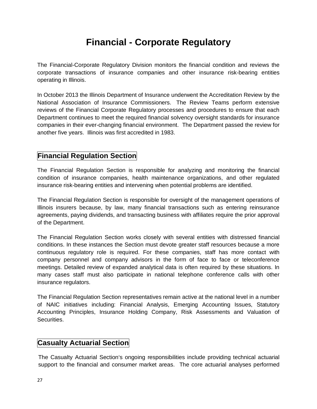# <span id="page-27-0"></span>**Financial - Corporate Regulatory**

The Financial-Corporate Regulatory Division monitors the financial condition and reviews the corporate transactions of insurance companies and other insurance risk-bearing entities operating in Illinois.

In October 2013 the Illinois Department of Insurance underwent the Accreditation Review by the National Association of Insurance Commissioners. The Review Teams perform extensive reviews of the Financial Corporate Regulatory processes and procedures to ensure that each Department continues to meet the required financial solvency oversight standards for insurance companies in their ever-changing financial environment. The Department passed the review for another five years. Illinois was first accredited in 1983.

#### **Financial Regulation Section**

The Financial Regulation Section is responsible for analyzing and monitoring the financial condition of insurance companies, health maintenance organizations, and other regulated insurance risk-bearing entities and intervening when potential problems are identified.

The Financial Regulation Section is responsible for oversight of the management operations of Illinois insurers because, by law, many financial transactions such as entering reinsurance agreements, paying dividends, and transacting business with affiliates require the prior approval of the Department.

The Financial Regulation Section works closely with several entities with distressed financial conditions. In these instances the Section must devote greater staff resources because a more continuous regulatory role is required. For these companies, staff has more contact with company personnel and company advisors in the form of face to face or teleconference meetings. Detailed review of expanded analytical data is often required by these situations. In many cases staff must also participate in national telephone conference calls with other insurance regulators.

The Financial Regulation Section representatives remain active at the national level in a number of NAIC initiatives including: Financial Analysis, Emerging Accounting Issues, Statutory Accounting Principles, Insurance Holding Company, Risk Assessments and Valuation of Securities.

### **Casualty Actuarial Section**

The Casualty Actuarial Section's ongoing responsibilities include providing technical actuarial support to the financial and consumer market areas. The core actuarial analyses performed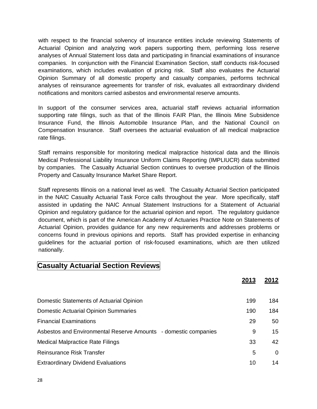with respect to the financial solvency of insurance entities include reviewing Statements of Actuarial Opinion and analyzing work papers supporting them, performing loss reserve analyses of Annual Statement loss data and participating in financial examinations of insurance companies. In conjunction with the Financial Examination Section, staff conducts risk-focused examinations, which includes evaluation of pricing risk. Staff also evaluates the Actuarial Opinion Summary of all domestic property and casualty companies, performs technical analyses of reinsurance agreements for transfer of risk, evaluates all extraordinary dividend notifications and monitors carried asbestos and environmental reserve amounts.

In support of the consumer services area, actuarial staff reviews actuarial information supporting rate filings, such as that of the Illinois FAIR Plan, the Illinois Mine Subsidence Insurance Fund, the Illinois Automobile Insurance Plan, and the National Council on Compensation Insurance. Staff oversees the actuarial evaluation of all medical malpractice rate filings.

Staff remains responsible for monitoring medical malpractice historical data and the Illinois Medical Professional Liability Insurance Uniform Claims Reporting (IMPLIUCR) data submitted by companies. The Casualty Actuarial Section continues to oversee production of the Illinois Property and Casualty Insurance Market Share Report.

Staff represents Illinois on a national level as well. The Casualty Actuarial Section participated in the NAIC Casualty Actuarial Task Force calls throughout the year. More specifically, staff assisted in updating the NAIC Annual Statement Instructions for a Statement of Actuarial Opinion and regulatory guidance for the actuarial opinion and report. The regulatory guidance document, which is part of the American Academy of Actuaries Practice Note on Statements of Actuarial Opinion, provides guidance for any new requirements and addresses problems or concerns found in previous opinions and reports. Staff has provided expertise in enhancing guidelines for the actuarial portion of risk-focused examinations, which are then utilized nationally.

#### **Casualty Actuarial Section Reviews**

|                                                                 | 2013 | 2012           |
|-----------------------------------------------------------------|------|----------------|
|                                                                 |      |                |
| Domestic Statements of Actuarial Opinion                        | 199  | 184            |
| <b>Domestic Actuarial Opinion Summaries</b>                     | 190  | 184            |
| <b>Financial Examinations</b>                                   | 29   | 50             |
| Asbestos and Environmental Reserve Amounts - domestic companies | 9    | 15             |
| <b>Medical Malpractice Rate Filings</b>                         | 33   | 42             |
| Reinsurance Risk Transfer                                       | 5    | $\overline{0}$ |
| <b>Extraordinary Dividend Evaluations</b>                       | 10   | 14             |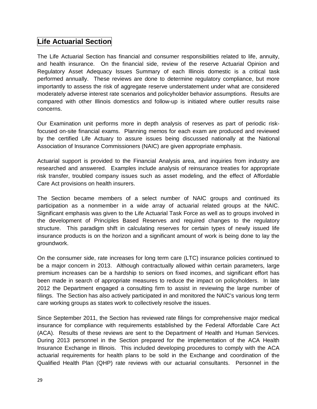#### **Life Actuarial Section**

The Life Actuarial Section has financial and consumer responsibilities related to life, annuity, and health insurance. On the financial side, review of the reserve Actuarial Opinion and Regulatory Asset Adequacy Issues Summary of each Illinois domestic is a critical task performed annually. These reviews are done to determine regulatory compliance, but more importantly to assess the risk of aggregate reserve understatement under what are considered moderately adverse interest rate scenarios and policyholder behavior assumptions. Results are compared with other Illinois domestics and follow-up is initiated where outlier results raise concerns.

Our Examination unit performs more in depth analysis of reserves as part of periodic riskfocused on-site financial exams. Planning memos for each exam are produced and reviewed by the certified Life Actuary to assure issues being discussed nationally at the National Association of Insurance Commissioners (NAIC) are given appropriate emphasis.

Actuarial support is provided to the Financial Analysis area, and inquiries from industry are researched and answered. Examples include analysis of reinsurance treaties for appropriate risk transfer, troubled company issues such as asset modeling, and the effect of Affordable Care Act provisions on health insurers.

The Section became members of a select number of NAIC groups and continued its participation as a nonmember in a wide array of actuarial related groups at the NAIC. Significant emphasis was given to the Life Actuarial Task Force as well as to groups involved in the development of Principles Based Reserves and required changes to the regulatory structure. This paradigm shift in calculating reserves for certain types of newly issued life insurance products is on the horizon and a significant amount of work is being done to lay the groundwork.

On the consumer side, rate increases for long term care (LTC) insurance policies continued to be a major concern in 2013. Although contractually allowed within certain parameters, large premium increases can be a hardship to seniors on fixed incomes, and significant effort has been made in search of appropriate measures to reduce the impact on policyholders. In late 2012 the Department engaged a consulting firm to assist in reviewing the large number of filings. The Section has also actively participated in and monitored the NAIC's various long term care working groups as states work to collectively resolve the issues.

Since September 2011, the Section has reviewed rate filings for comprehensive major medical insurance for compliance with requirements established by the Federal Affordable Care Act (ACA). Results of these reviews are sent to the Department of Health and Human Services. During 2013 personnel in the Section prepared for the implementation of the ACA Health Insurance Exchange in Illinois. This included developing procedures to comply with the ACA actuarial requirements for health plans to be sold in the Exchange and coordination of the Qualified Health Plan (QHP) rate reviews with our actuarial consultants. Personnel in the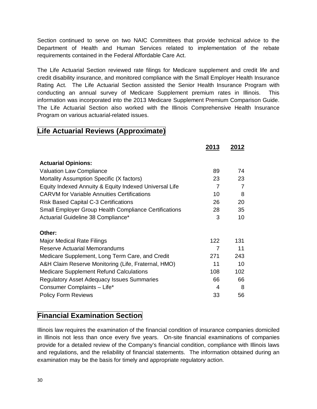Section continued to serve on two NAIC Committees that provide technical advice to the Department of Health and Human Services related to implementation of the rebate requirements contained in the Federal Affordable Care Act.

The Life Actuarial Section reviewed rate filings for Medicare supplement and credit life and credit disability insurance, and monitored compliance with the Small Employer Health Insurance Rating Act. The Life Actuarial Section assisted the Senior Health Insurance Program with conducting an annual survey of Medicare Supplement premium rates in Illinois. This information was incorporated into the 2013 Medicare Supplement Premium Comparison Guide. The Life Actuarial Section also worked with the Illinois Comprehensive Health Insurance Program on various actuarial-related issues.

**2013 2012**

#### **Life Actuarial Reviews (Approximate)**

|                                                              | טוּט∡          | ZUIZ            |
|--------------------------------------------------------------|----------------|-----------------|
| <b>Actuarial Opinions:</b>                                   |                |                 |
| <b>Valuation Law Compliance</b>                              | 89             | 74              |
| Mortality Assumption Specific (X factors)                    | 23             | 23              |
| Equity Indexed Annuity & Equity Indexed Universal Life       | $\overline{7}$ | 7               |
| <b>CARVM</b> for Variable Annuities Certifications           | 10             | 8               |
| <b>Risk Based Capital C-3 Certifications</b>                 | 26             | 20              |
| <b>Small Employer Group Health Compliance Certifications</b> | 28             | 35              |
| Actuarial Guideline 38 Compliance*                           | 3              | 10 <sup>1</sup> |
| Other:                                                       |                |                 |
| Major Medical Rate Filings                                   | 122            | 131             |
| <b>Reserve Actuarial Memorandums</b>                         | 7              | 11              |
| Medicare Supplement, Long Term Care, and Credit              | 271            | 243             |
| A&H Claim Reserve Monitoring (Life, Fraternal, HMO)          | 11             | 10              |
| <b>Medicare Supplement Refund Calculations</b>               | 108            | 102             |
| <b>Regulatory Asset Adequacy Issues Summaries</b>            | 66             | 66              |
| Consumer Complaints - Life*                                  | 4              | 8               |
| <b>Policy Form Reviews</b>                                   | 33             | 56              |

#### **Financial Examination Section**

Illinois law requires the examination of the financial condition of insurance companies domiciled in Illinois not less than once every five years. On-site financial examinations of companies provide for a detailed review of the Company's financial condition, compliance with Illinois laws and regulations, and the reliability of financial statements. The information obtained during an examination may be the basis for timely and appropriate regulatory action.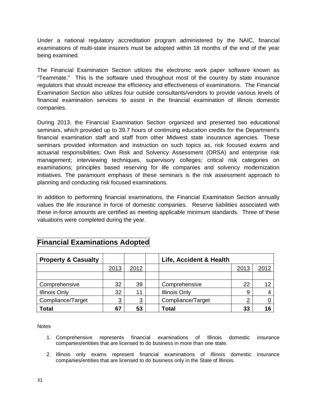Under a national regulatory accreditation program administered by the NAIC, financial examinations of multi-state insurers must be adopted within 18 months of the end of the year being examined.

The Financial Examination Section utilizes the electronic work paper software known as "Teammate." This is the software used throughout most of the country by state insurance regulators that should increase the efficiency and effectiveness of examinations. The Financial Examination Section also utilizes four outside consultants/vendors to provide various levels of financial examination services to assist in the financial examination of Illinois domestic companies.

During 2013, the Financial Examination Section organized and presented two educational seminars, which provided up to 39.7 hours of continuing education credits for the Department's financial examination staff and staff from other Midwest state insurance agencies. These seminars provided information and instruction on such topics as, risk focused exams and actuarial responsibilities; Own Risk and Solvency Assessment (ORSA) and enterprise risk management; interviewing techniques, supervisory colleges; critical risk categories on examinations; principles based reserving for life companies and solvency modernization initiatives. The paramount emphasis of these seminars is the risk assessment approach to planning and conducting risk focused examinations.

In addition to performing financial examinations, the Financial Examination Section annually values the life insurance in force of domestic companies. Reserve liabilities associated with these in-force amounts are certified as meeting applicable minimum standards. Three of these valuations were completed during the year.

| <b>Property &amp; Casualty</b> |                |          | Life, Accident & Health |          |      |
|--------------------------------|----------------|----------|-------------------------|----------|------|
|                                | 2013           | 2012     |                         | 2013     | 2012 |
|                                |                |          |                         |          |      |
| Comprehensive                  | 32             | 39       | Comprehensive           | 22       | 12   |
| <b>Illinois Only</b>           | 32             | 11       | <b>Illinois Only</b>    | 9        |      |
| Compliance/Target              | $\overline{3}$ | <u>3</u> | Compliance/Target       | <u>2</u> |      |
| <b>Total</b>                   | 67             | 53       | <b>Total</b>            | 33       | 16   |

### **Financial Examinations Adopted**

**Notes** 

- 1. Comprehensive represents financial examinations of Illinois domestic insurance companies/entities that are licensed to do business in more than one state.
- 2. Illinois only exams represent financial examinations of Illinois domestic insurance companies/entities that are licensed to do business only in the State of Illinois.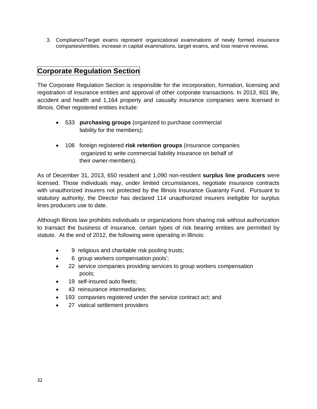3. Compliance/Target exams represent organizational examinations of newly formed insurance companies/entities, increase in capital examinations, target exams, and loss reserve reviews.

#### **Corporate Regulation Section**

The Corporate Regulation Section is responsible for the incorporation, formation, licensing and registration of insurance entities and approval of other corporate transactions. In 2013, 601 life, accident and health and 1,164 property and casualty insurance companies were licensed in Illinois. Other registered entities include:

- 533 **purchasing groups** (organized to purchase commercial liability for the members);
- 106 foreign registered **risk retention groups** (insurance companies organized to write commercial liability insurance on behalf of their owner-members).

As of December 31, 2013, 650 resident and 1,090 non-resident **surplus line producers** were licensed. Those individuals may, under limited circumstances, negotiate insurance contracts with unauthorized insurers not protected by the Illinois Insurance Guaranty Fund. Pursuant to statutory authority, the Director has declared 114 unauthorized insurers ineligible for surplus lines producers use to date.

Although Illinois law prohibits individuals or organizations from sharing risk without authorization to transact the business of insurance, certain types of risk bearing entities are permitted by statute. At the end of 2012, the following were operating in Illinois:

- 9 religious and charitable risk pooling trusts;
- 6 group workers compensation pools';
- 22 service companies providing services to group workers compensation pools;
- 19 self-insured auto fleets;
- 43 reinsurance intermediaries;
- 193 companies registered under the service contract act; and
- 27 viatical settlement providers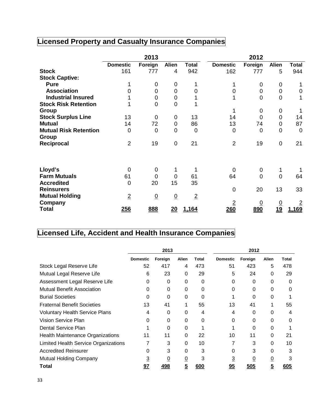# **Licensed Property and Casualty Insurance Companies**

|                              |                 | 2013            |                 |                |                 | 2012           |                |                |
|------------------------------|-----------------|-----------------|-----------------|----------------|-----------------|----------------|----------------|----------------|
|                              | <b>Domestic</b> | Foreign         | <b>Alien</b>    | <b>Total</b>   | <b>Domestic</b> | Foreign        | <b>Alien</b>   | Total          |
| <b>Stock</b>                 | 161             | 777             | $\overline{4}$  | 942            | 162             | 777            | 5              | 944            |
| <b>Stock Captive:</b>        |                 |                 |                 |                |                 |                |                |                |
| <b>Pure</b>                  |                 | 0               | 0               | 1              | 1               | 0              | 0              |                |
| <b>Association</b>           | $\Omega$        | 0               | $\mathbf 0$     | 0              | 0               | 0              | 0              | 0              |
| <b>Industrial Insured</b>    |                 | 0               | $\mathbf 0$     |                |                 | $\overline{0}$ | 0              |                |
| <b>Stock Risk Retention</b>  |                 | $\overline{0}$  | $\mathbf 0$     |                |                 |                |                |                |
| Group                        |                 |                 |                 |                | 1               | 0              | 0              |                |
| <b>Stock Surplus Line</b>    | 13              | $\mathbf 0$     | $\mathbf 0$     | 13             | 14              | $\overline{0}$ | 0              | 14             |
| <b>Mutual</b>                | 14              | 72              | $\mathbf 0$     | 86             | 13              | 74             | 0              | 87             |
| <b>Mutual Risk Retention</b> | $\overline{0}$  | $\overline{0}$  | 0               | $\mathbf 0$    | 0               | 0              | 0              | $\overline{0}$ |
| Group                        |                 |                 |                 |                |                 |                |                |                |
| Reciprocal                   | $\overline{2}$  | 19              | $\mathbf 0$     | 21             | $\overline{2}$  | 19             | $\mathbf 0$    | 21             |
|                              |                 |                 |                 |                |                 |                |                |                |
| Lloyd's                      | 0               | 0               | 1               |                | 0               | $\mathbf 0$    | 1              |                |
| <b>Farm Mutuals</b>          | 61              | 0               | $\mathbf 0$     | 61             | 64              | $\overline{0}$ | $\overline{0}$ | 64             |
| <b>Accredited</b>            | 0               | 20              | 15              | 35             |                 |                |                |                |
| <b>Reinsurers</b>            |                 |                 |                 |                | $\mathbf 0$     | 20             | 13             | 33             |
| <b>Mutual Holding</b>        | $\overline{2}$  | $\underline{0}$ | $\underline{0}$ | $\overline{2}$ |                 |                |                |                |
| Company                      |                 |                 |                 |                | $\overline{2}$  | <u>0</u>       |                | $\overline{2}$ |
| <b>Total</b>                 | 256             | 888             | 20              | 1,164          | 260             | 890            | $\frac{0}{19}$ | 1,169          |

# **Licensed Life, Accident and Health Insurance Companies**

|                                         | 2013            |          |                | 2012  |                 |         |       |              |
|-----------------------------------------|-----------------|----------|----------------|-------|-----------------|---------|-------|--------------|
|                                         | <b>Domestic</b> | Foreign  | <b>Alien</b>   | Total | <b>Domestic</b> | Foreign | Alien | <b>Total</b> |
| Stock Legal Reserve Life                | 52              | 417      | 4              | 473   | 51              | 423     | 5     | 478          |
| Mutual Legal Reserve Life               | 6               | 23       | 0              | 29    | 5               | 24      | 0     | 29           |
| Assessment Legal Reserve Life           | 0               | 0        | 0              | 0     | $\Omega$        | 0       | 0     | 0            |
| Mutual Benefit Association              | O               | $\Omega$ | 0              | 0     | $\Omega$        | 0       | 0     | 0            |
| <b>Burial Societies</b>                 | 0               | 0        | 0              | 0     |                 | 0       | 0     |              |
| <b>Fraternal Benefit Societies</b>      | 13              | 41       |                | 55    | 13              | 41      |       | 55           |
| <b>Voluntary Health Service Plans</b>   | 4               | 0        | 0              | 4     | 4               | 0       | 0     | 4            |
| Vision Service Plan                     | 0               | 0        | 0              | 0     | 0               | 0       | 0     | 0            |
| Dental Service Plan                     |                 | 0        | 0              |       |                 | 0       | 0     |              |
| <b>Health Maintenance Organizations</b> | 11              | 11       | 0              | 22    | 10              | 11      | 0     | 21           |
| Limited Health Service Organizations    |                 | 3        | 0              | 10    |                 | 3       | 0     | 10           |
| <b>Accredited Reinsurer</b>             | 0               | 3        | 0              | 3     | 0               | 3       | 0     | 3            |
| Mutual Holding Company                  | 3               | 0        | <u>0</u>       | 3     | <u>3</u>        | 0       | 0     | 3            |
| Total                                   | 97              | 498      | $\overline{5}$ | 600   | 95              | 505     | 5     | 605          |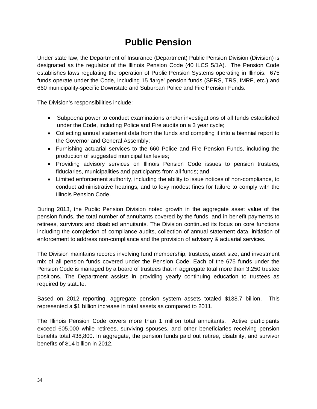# **Public Pension**

<span id="page-34-0"></span>Under state law, the Department of Insurance (Department) Public Pension Division (Division) is designated as the regulator of the Illinois Pension Code (40 ILCS 5/1A). The Pension Code establishes laws regulating the operation of Public Pension Systems operating in Illinois. 675 funds operate under the Code, including 15 'large' pension funds (SERS, TRS, IMRF, etc.) and 660 municipality-specific Downstate and Suburban Police and Fire Pension Funds.

The Division's responsibilities include:

- Subpoena power to conduct examinations and/or investigations of all funds established under the Code, including Police and Fire audits on a 3 year cycle;
- Collecting annual statement data from the funds and compiling it into a biennial report to the Governor and General Assembly;
- Furnishing actuarial services to the 660 Police and Fire Pension Funds, including the production of suggested municipal tax levies;
- Providing advisory services on Illinois Pension Code issues to pension trustees, fiduciaries, municipalities and participants from all funds; and
- Limited enforcement authority, including the ability to issue notices of non-compliance, to conduct administrative hearings, and to levy modest fines for failure to comply with the Illinois Pension Code.

During 2013, the Public Pension Division noted growth in the aggregate asset value of the pension funds, the total number of annuitants covered by the funds, and in benefit payments to retirees, survivors and disabled annuitants. The Division continued its focus on core functions including the completion of compliance audits, collection of annual statement data, initiation of enforcement to address non-compliance and the provision of advisory & actuarial services.

The Division maintains records involving fund membership, trustees, asset size, and investment mix of all pension funds covered under the Pension Code. Each of the 675 funds under the Pension Code is managed by a board of trustees that in aggregate total more than 3,250 trustee positions. The Department assists in providing yearly continuing education to trustees as required by statute.

Based on 2012 reporting, aggregate pension system assets totaled \$138.7 billion. This represented a \$1 billion increase in total assets as compared to 2011.

The Illinois Pension Code covers more than 1 million total annuitants. Active participants exceed 605,000 while retirees, surviving spouses, and other beneficiaries receiving pension benefits total 438,800. In aggregate, the pension funds paid out retiree, disability, and survivor benefits of \$14 billion in 2012.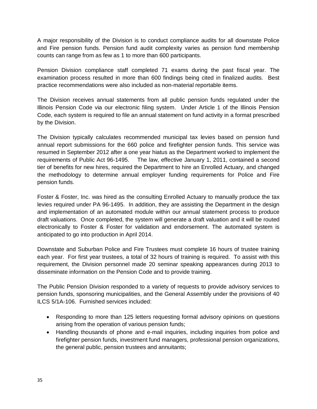A major responsibility of the Division is to conduct compliance audits for all downstate Police and Fire pension funds. Pension fund audit complexity varies as pension fund membership counts can range from as few as 1 to more than 600 participants.

Pension Division compliance staff completed 71 exams during the past fiscal year. The examination process resulted in more than 600 findings being cited in finalized audits. Best practice recommendations were also included as non-material reportable items.

The Division receives annual statements from all public pension funds regulated under the Illinois Pension Code via our electronic filing system. Under Article 1 of the Illinois Pension Code, each system is required to file an annual statement on fund activity in a format prescribed by the Division.

The Division typically calculates recommended municipal tax levies based on pension fund annual report submissions for the 660 police and firefighter pension funds. This service was resumed in September 2012 after a one year hiatus as the Department worked to implement the requirements of Public Act 96-1495. The law, effective January 1, 2011, contained a second tier of benefits for new hires, required the Department to hire an Enrolled Actuary, and changed the methodology to determine annual employer funding requirements for Police and Fire pension funds.

Foster & Foster, Inc. was hired as the consulting Enrolled Actuary to manually produce the tax levies required under PA 96-1495. In addition, they are assisting the Department in the design and implementation of an automated module within our annual statement process to produce draft valuations. Once completed, the system will generate a draft valuation and it will be routed electronically to Foster & Foster for validation and endorsement. The automated system is anticipated to go into production in April 2014.

Downstate and Suburban Police and Fire Trustees must complete 16 hours of trustee training each year. For first year trustees, a total of 32 hours of training is required. To assist with this requirement, the Division personnel made 20 seminar speaking appearances during 2013 to disseminate information on the Pension Code and to provide training.

The Public Pension Division responded to a variety of requests to provide advisory services to pension funds, sponsoring municipalities, and the General Assembly under the provisions of 40 ILCS 5/1A-106. Furnished services included:

- Responding to more than 125 letters requesting formal advisory opinions on questions arising from the operation of various pension funds;
- Handling thousands of phone and e-mail inquiries, including inquiries from police and firefighter pension funds, investment fund managers, professional pension organizations, the general public, pension trustees and annuitants;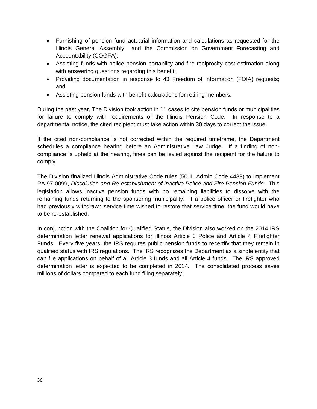- Furnishing of pension fund actuarial information and calculations as requested for the Illinois General Assembly and the Commission on Government Forecasting and Accountability (COGFA);
- Assisting funds with police pension portability and fire reciprocity cost estimation along with answering questions regarding this benefit;
- Providing documentation in response to 43 Freedom of Information (FOIA) requests; and
- Assisting pension funds with benefit calculations for retiring members.

During the past year, The Division took action in 11 cases to cite pension funds or municipalities for failure to comply with requirements of the Illinois Pension Code. In response to a departmental notice, the cited recipient must take action within 30 days to correct the issue.

If the cited non-compliance is not corrected within the required timeframe, the Department schedules a compliance hearing before an Administrative Law Judge. If a finding of noncompliance is upheld at the hearing, fines can be levied against the recipient for the failure to comply.

The Division finalized Illinois Administrative Code rules (50 IL Admin Code 4439) to implement PA 97-0099, *Dissolution and Re-establishment of Inactive Police and Fire Pension Funds*. This legislation allows inactive pension funds with no remaining liabilities to dissolve with the remaining funds returning to the sponsoring municipality. If a police officer or firefighter who had previously withdrawn service time wished to restore that service time, the fund would have to be re-established.

In conjunction with the Coalition for Qualified Status, the Division also worked on the 2014 IRS determination letter renewal applications for Illinois Article 3 Police and Article 4 Firefighter Funds. Every five years, the IRS requires public pension funds to recertify that they remain in qualified status with IRS regulations. The IRS recognizes the Department as a single entity that can file applications on behalf of all Article 3 funds and all Article 4 funds. The IRS approved determination letter is expected to be completed in 2014. The consolidated process saves millions of dollars compared to each fund filing separately.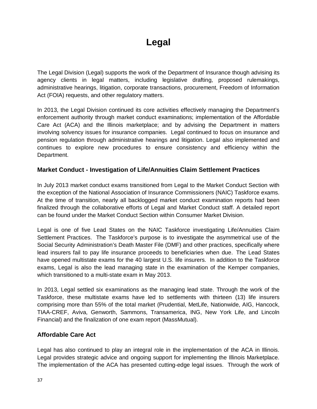# **Legal**

<span id="page-37-0"></span>The Legal Division (Legal) supports the work of the Department of Insurance though advising its agency clients in legal matters, including legislative drafting, proposed rulemakings, administrative hearings, litigation, corporate transactions, procurement, Freedom of Information Act (FOIA) requests, and other regulatory matters.

In 2013, the Legal Division continued its core activities effectively managing the Department's enforcement authority through market conduct examinations; implementation of the Affordable Care Act (ACA) and the Illinois marketplace; and by advising the Department in matters involving solvency issues for insurance companies. Legal continued to focus on insurance and pension regulation through administrative hearings and litigation. Legal also implemented and continues to explore new procedures to ensure consistency and efficiency within the Department.

#### **Market Conduct - Investigation of Life/Annuities Claim Settlement Practices**

In July 2013 market conduct exams transitioned from Legal to the Market Conduct Section with the exception of the National Association of Insurance Commissioners (NAIC) Taskforce exams. At the time of transition, nearly all backlogged market conduct examination reports had been finalized through the collaborative efforts of Legal and Market Conduct staff. A detailed report can be found under the Market Conduct Section within Consumer Market Division.

Legal is one of five Lead States on the NAIC Taskforce investigating Life/Annuities Claim Settlement Practices. The Taskforce's purpose is to investigate the asymmetrical use of the Social Security Administration's Death Master File (DMF) and other practices, specifically where lead insurers fail to pay life insurance proceeds to beneficiaries when due. The Lead States have opened multistate exams for the 40 largest U.S. life insurers. In addition to the Taskforce exams, Legal is also the lead managing state in the examination of the Kemper companies, which transitioned to a multi-state exam in May 2013.

In 2013, Legal settled six examinations as the managing lead state. Through the work of the Taskforce, these multistate exams have led to settlements with thirteen (13) life insurers comprising more than 55% of the total market (Prudential, MetLife, Nationwide, AIG, Hancock, TIAA-CREF, Aviva, Genworth, Sammons, Transamerica, ING, New York Life, and Lincoln Financial) and the finalization of one exam report (MassMutual).

#### **Affordable Care Act**

Legal has also continued to play an integral role in the implementation of the ACA in Illinois. Legal provides strategic advice and ongoing support for implementing the Illinois Marketplace. The implementation of the ACA has presented cutting-edge legal issues. Through the work of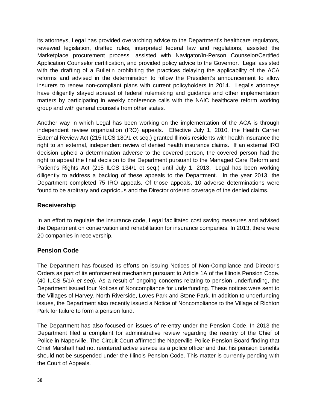its attorneys, Legal has provided overarching advice to the Department's healthcare regulators, reviewed legislation, drafted rules, interpreted federal law and regulations, assisted the Marketplace procurement process, assisted with Navigator/In-Person Counselor/Certified Application Counselor certification, and provided policy advice to the Governor. Legal assisted with the drafting of a Bulletin prohibiting the practices delaying the applicability of the ACA reforms and advised in the determination to follow the President's announcement to allow insurers to renew non-compliant plans with current policyholders in 2014. Legal's attorneys have diligently stayed abreast of federal rulemaking and guidance and other implementation matters by participating in weekly conference calls with the NAIC healthcare reform working group and with general counsels from other states.

Another way in which Legal has been working on the implementation of the ACA is through independent review organization (IRO) appeals. Effective July 1, 2010, the [Health Carrier](http://ilga.gov/legislation/publicacts/96/PDF/096-0857.pdf)  [External Review Act](http://ilga.gov/legislation/publicacts/96/PDF/096-0857.pdf) (215 ILCS 180/1 et seq.) granted Illinois residents with health insurance the right to an external, independent review of denied health insurance claims. If an external IRO decision upheld a determination adverse to the covered person, the covered person had the right to appeal the final decision to the Department pursuant to the Managed Care Reform and Patient's Rights Act (215 ILCS 134/1 et seq.) until July 1, 2013. Legal has been working diligently to address a backlog of these appeals to the Department. In the year 2013, the Department completed 75 IRO appeals. Of those appeals, 10 adverse determinations were found to be arbitrary and capricious and the Director ordered coverage of the denied claims.

#### **Receivership**

In an effort to regulate the insurance code, Legal facilitated cost saving measures and advised the Department on conservation and rehabilitation for insurance companies. In 2013, there were 20 companies in receivership.

#### **Pension Code**

The Department has focused its efforts on issuing Notices of Non-Compliance and Director's Orders as part of its enforcement mechanism pursuant to Article 1A of the Illinois Pension Code. (40 ILCS 5/1A *et seq*). As a result of ongoing concerns relating to pension underfunding, the Department issued four Notices of Noncompliance for underfunding. These notices were sent to the Villages of Harvey, North Riverside, Loves Park and Stone Park. In addition to underfunding issues, the Department also recently issued a Notice of Noncompliance to the Village of Richton Park for failure to form a pension fund.

The Department has also focused on issues of re-entry under the Pension Code. In 2013 the Department filed a complaint for administrative review regarding the reentry of the Chief of Police in Naperville. The Circuit Court affirmed the Naperville Police Pension Board finding that Chief Marshall had not reentered active service as a police officer and that his pension benefits should not be suspended under the Illinois Pension Code. This matter is currently pending with the Court of Appeals.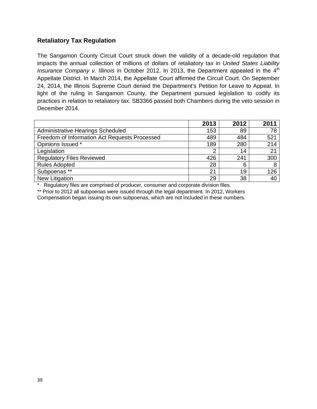#### **Retaliatory Tax Regulation**

The Sangamon County Circuit Court struck down the validity of a decade-old regulation that impacts the annual collection of millions of dollars of retaliatory tax in *United States Liability Insurance Company v. Illinois* in October 2012. In 2013, the Department appealed in the 4<sup>th</sup> Appellate District. In March 2014, the Appellate Court affirmed the Circuit Court. On September 24, 2014, the Illinois Supreme Court denied the Department's Petition for Leave to Appeal. In light of the ruling in Sangamon County, the Department pursued legislation to codify its practices in relation to retaliatory tax. SB3366 passed both Chambers during the veto session in December 2014.

|                                               | 2013 | 2012 | 2011 |
|-----------------------------------------------|------|------|------|
| Administrative Hearings Scheduled             | 153  | 89   | 78   |
| Freedom of Information Act Requests Processed | 489  | 484  | 521  |
| Opinions Issued *                             | 189  | 280  | 214  |
| Legislation                                   | ◠    | 14   | 21   |
| <b>Regulatory Files Reviewed</b>              | 426  | 241  | 300  |
| <b>Rules Adopted</b>                          | 28   | 6    | 8    |
| Subpoenas **                                  | 21   | 19   | 126  |
| New Litigation                                | 29   | 38   | 40   |

Regulatory files are comprised of producer, consumer and corporate division files.

\*\* Prior to 2012 all subpoenas were issued through the legal department. In 2012, Workers Compensation began issuing its own subpoenas, which are not included in these numbers.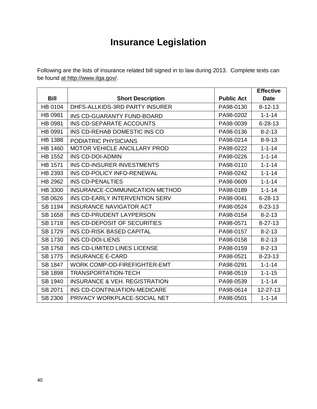# **Insurance Legislation**

<span id="page-40-0"></span>Following are the lists of insurance related bill signed in to law during 2013. Complete texts can be found at http://www.ilga.gov/.

|                |                                          |                   | <b>Effective</b> |
|----------------|------------------------------------------|-------------------|------------------|
| <b>Bill</b>    | <b>Short Description</b>                 | <b>Public Act</b> | <b>Date</b>      |
| HB 0104        | DHFS-ALLKIDS-3RD PARTY INSURER           | PA98-0130         | $8 - 12 - 13$    |
| HB 0981        | INS CD-GUARANTY FUND-BOARD               | PA98-0202         | $1 - 1 - 14$     |
| HB 0981        | INS CD-SEPARATE ACCOUNTS                 | PA98-0039         | $6 - 28 - 13$    |
| HB 0991        | INS CD-REHAB DOMESTIC INS CO             | PA98-0136         | $8 - 2 - 13$     |
| <b>HB 1388</b> | PODIATRIC PHYSICIANS                     | PA98-0214         | $8 - 9 - 13$     |
| HB 1460        | MOTOR VEHICLE ANCILLARY PROD             | PA98-0222         | $1 - 1 - 14$     |
| <b>HB 1552</b> | <b>INS CD-DOI-ADMIN</b>                  | PA98-0226         | $1 - 1 - 14$     |
| HB 1571        | INS CD-INSURER INVESTMENTS               | PA98-0110         | $1 - 1 - 14$     |
| HB 2393        | INS CD-POLICY INFO-RENEWAL               | PA98-0242         | $1 - 1 - 14$     |
| HB 2962        | INS CD-PENALTIES                         | PA98-0609         | $1 - 1 - 14$     |
| HB 3300        | INSURANCE-COMMUNICATION METHOD           | PA98-0189         | $1 - 1 - 14$     |
| SB 0626        | INS CD-EARLY INTERVENTION SERV           | PA98-0041         | $6 - 28 - 13$    |
| SB 1194        | <b>INSURANCE NAVIGATOR ACT</b>           | PA98-0524         | $8 - 23 - 13$    |
| SB 1658        | INS CD-PRUDENT LAYPERSON                 | PA98-0154         | $8 - 2 - 13$     |
| SB 1718        | INS CD-DEPOSIT OF SECURITIES             | PA98-0571         | $8 - 27 - 13$    |
| <b>SB 1729</b> | <b>INS CD-RISK BASED CAPITAL</b>         | PA98-0157         | $8 - 2 - 13$     |
| SB 1730        | INS CD-DOI-LIENS                         | PA98-0158         | $8 - 2 - 13$     |
| <b>SB 1758</b> | INS CD-LIMITED LINES LICENSE             | PA98-0159         | $8 - 2 - 13$     |
| <b>SB 1775</b> | <b>INSURANCE E-CARD</b>                  | PA98-0521         | $8 - 23 - 13$    |
| SB 1847        | <b>WORK COMP-OD-FIREFIGHTER-EMT</b>      | PA98-0291         | $1 - 1 - 14$     |
| SB 1898        | <b>TRANSPORTATION-TECH</b>               | PA98-0519         | $1 - 1 - 15$     |
| SB 1940        | <b>INSURANCE &amp; VEH. REGISTRATION</b> | PA98-0539         | $1 - 1 - 14$     |
| SB 2071        | INS CD-CONTINUATION-MEDICARE             | PA98-0614         | 12-27-13         |
| SB 2306        | PRIVACY WORKPLACE-SOCIAL NET             | PA98-0501         | $1 - 1 - 14$     |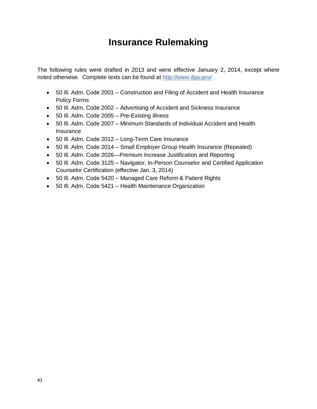# **Insurance Rulemaking**

<span id="page-41-0"></span>The following rules were drafted in 2013 and were effective January 2, 2014, except where noted otherwise. Complete texts can be found at *<http://www.ilga.gov/>* .

- 50 Ill. Adm. Code 2001 Construction and Filing of Accident and Health Insurance Policy Forms
- 50 Ill. Adm. Code 2002 Advertising of Accident and Sickness Insurance
- 50 Ill. Adm. Code 2005 Pre-Existing Illness
- 50 Ill. Adm. Code 2007 Minimum Standards of Individual Accident and Health **Insurance**
- 50 Ill. Adm. Code 2012 Long-Term Care Insurance
- 50 Ill. Adm. Code 2014 Small Employer Group Health Insurance (Repealed)
- 50 Ill. Adm. Code 2026—Premium Increase Justification and Reporting
- 50 Ill. Adm. Code 3125 Navigator, In-Person Counselor and Certified Application Counselor Certification (effective Jan. 3, 2014)
- 50 Ill. Adm. Code 5420 Managed Care Reform & Patient Rights
- 50 Ill. Adm. Code 5421 Health Maintenance Organization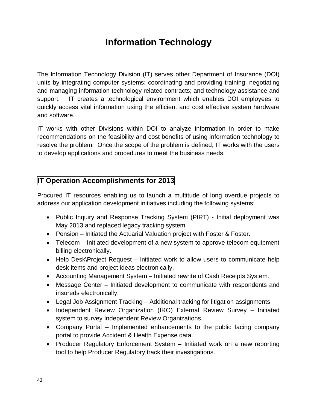# **Information Technology**

<span id="page-42-0"></span>The Information Technology Division (IT) serves other Department of Insurance (DOI) units by integrating computer systems; coordinating and providing training; negotiating and managing information technology related contracts; and technology assistance and support. IT creates a technological environment which enables DOI employees to quickly access vital information using the efficient and cost effective system hardware and software.

IT works with other Divisions within DOI to analyze information in order to make recommendations on the feasibility and cost benefits of using information technology to resolve the problem. Once the scope of the problem is defined, IT works with the users to develop applications and procedures to meet the business needs.

### **IT Operation Accomplishments for 2013**

Procured IT resources enabling us to launch a multitude of long overdue projects to address our application development initiatives including the following systems:

- Public Inquiry and Response Tracking System (PIRT) Initial deployment was May 2013 and replaced legacy tracking system.
- Pension Initiated the Actuarial Valuation project with Foster & Foster.
- Telecom Initiated development of a new system to approve telecom equipment billing electronically.
- Help Desk\Project Request Initiated work to allow users to communicate help desk items and project ideas electronically.
- Accounting Management System Initiated rewrite of Cash Receipts System.
- Message Center Initiated development to communicate with respondents and insureds electronically.
- Legal Job Assignment Tracking Additional tracking for litigation assignments
- Independent Review Organization (IRO) External Review Survey Initiated system to survey Independent Review Organizations.
- Company Portal Implemented enhancements to the public facing company portal to provide Accident & Health Expense data.
- Producer Regulatory Enforcement System Initiated work on a new reporting tool to help Producer Regulatory track their investigations.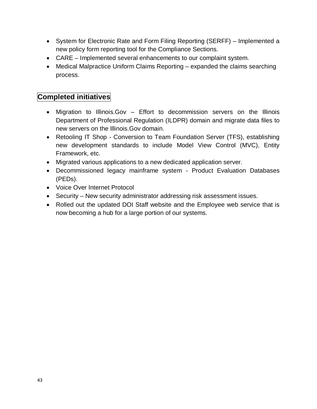- System for Electronic Rate and Form Filing Reporting (SERFF) Implemented a new policy form reporting tool for the Compliance Sections.
- CARE Implemented several enhancements to our complaint system.
- Medical Malpractice Uniform Claims Reporting expanded the claims searching process.

### **Completed initiatives**

- Migration to Illinois.Gov Effort to decommission servers on the Illinois Department of Professional Regulation (ILDPR) domain and migrate data files to new servers on the Illinois.Gov domain.
- Retooling IT Shop Conversion to Team Foundation Server (TFS), establishing new development standards to include Model View Control (MVC), Entity Framework, etc.
- Migrated various applications to a new dedicated application server.
- Decommissioned legacy mainframe system Product Evaluation Databases (PEDs).
- Voice Over Internet Protocol
- Security New security administrator addressing risk assessment issues.
- Rolled out the updated DOI Staff website and the Employee web service that is now becoming a hub for a large portion of our systems.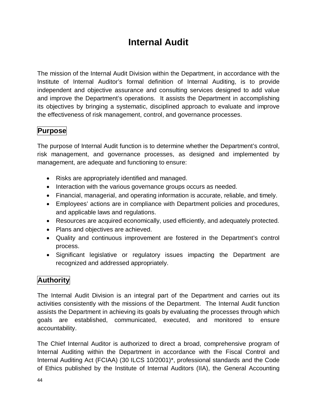# **Internal Audit**

<span id="page-44-0"></span>The mission of the Internal Audit Division within the Department, in accordance with the Institute of Internal Auditor's formal definition of Internal Auditing, is to provide independent and objective assurance and consulting services designed to add value and improve the Department's operations. It assists the Department in accomplishing its objectives by bringing a systematic, disciplined approach to evaluate and improve the effectiveness of risk management, control, and governance processes.

### **Purpose**

The purpose of Internal Audit function is to determine whether the Department's control, risk management, and governance processes, as designed and implemented by management, are adequate and functioning to ensure:

- Risks are appropriately identified and managed.
- Interaction with the various governance groups occurs as needed.
- Financial, managerial, and operating information is accurate, reliable, and timely.
- Employees' actions are in compliance with Department policies and procedures, and applicable laws and regulations.
- Resources are acquired economically, used efficiently, and adequately protected.
- Plans and objectives are achieved.
- Quality and continuous improvement are fostered in the Department's control process.
- Significant legislative or regulatory issues impacting the Department are recognized and addressed appropriately.

### **Authority**

The Internal Audit Division is an integral part of the Department and carries out its activities consistently with the missions of the Department. The Internal Audit function assists the Department in achieving its goals by evaluating the processes through which goals are established, communicated, executed, and monitored to ensure accountability.

The Chief Internal Auditor is authorized to direct a broad, comprehensive program of Internal Auditing within the Department in accordance with the Fiscal Control and Internal Auditing Act (FCIAA) (30 ILCS 10/2001)\*, professional standards and the Code of Ethics published by the Institute of Internal Auditors (IIA), the General Accounting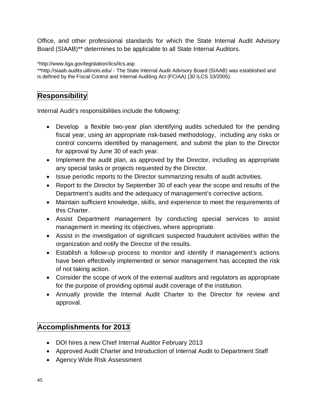Office, and other professional standards for which the State Internal Audit Advisory Board (SIAAB)\*\* determines to be applicable to all State Internal Auditors.

[\\*http://www.ilga.gov/legislation/ilcs/ilcs.asp](http://www.ilga.gov/legislation/ilcs/ilcs.asp)

\*[\\*http://siaab.audits.uillinois.edu/](http://siaab.audits.uillinois.edu/) - The State Internal Audit Advisory Board (SIAAB) was established and is defined by the Fiscal Control and Internal Auditing Act (FCIAA) (30 ILCS 10/2005).

### **Responsibility**

Internal Audit's responsibilities include the following:

- Develop a flexible two-year plan identifying audits scheduled for the pending fiscal year, using an appropriate risk-based methodology, including any risks or control concerns identified by management, and submit the plan to the Director for approval by June 30 of each year.
- Implement the audit plan, as approved by the Director, including as appropriate any special tasks or projects requested by the Director.
- Issue periodic reports to the Director summarizing results of audit activities.
- Report to the Director by September 30 of each year the scope and results of the Department's audits and the adequacy of management's corrective actions.
- Maintain sufficient knowledge, skills, and experience to meet the requirements of this Charter.
- Assist Department management by conducting special services to assist management in meeting its objectives, where appropriate.
- Assist in the investigation of significant suspected fraudulent activities within the organization and notify the Director of the results.
- Establish a follow-up process to monitor and identify if management's actions have been effectively implemented or senior management has accepted the risk of not taking action.
- Consider the scope of work of the external auditors and regulators as appropriate for the purpose of providing optimal audit coverage of the institution.
- Annually provide the Internal Audit Charter to the Director for review and approval.

### **Accomplishments for 2013**

- DOI hires a new Chief Internal Auditor February 2013
- Approved Audit Charter and Introduction of Internal Audit to Department Staff
- Agency Wide Risk Assessment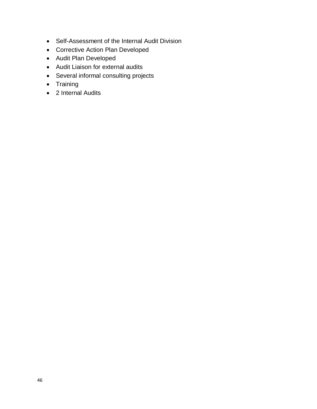- Self-Assessment of the Internal Audit Division
- Corrective Action Plan Developed
- Audit Plan Developed
- Audit Liaison for external audits
- Several informal consulting projects
- Training
- 2 Internal Audits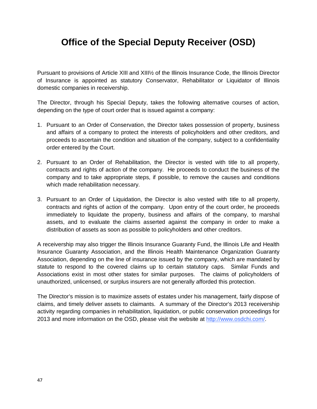# <span id="page-47-0"></span>**Office of the Special Deputy Receiver (OSD)**

Pursuant to provisions of Article XIII and XIII½ of the Illinois Insurance Code, the Illinois Director of Insurance is appointed as statutory Conservator, Rehabilitator or Liquidator of Illinois domestic companies in receivership.

The Director, through his Special Deputy, takes the following alternative courses of action, depending on the type of court order that is issued against a company:

- 1. Pursuant to an Order of Conservation, the Director takes possession of property, business and affairs of a company to protect the interests of policyholders and other creditors, and proceeds to ascertain the condition and situation of the company, subject to a confidentiality order entered by the Court.
- 2. Pursuant to an Order of Rehabilitation, the Director is vested with title to all property, contracts and rights of action of the company. He proceeds to conduct the business of the company and to take appropriate steps, if possible, to remove the causes and conditions which made rehabilitation necessary.
- 3. Pursuant to an Order of Liquidation, the Director is also vested with title to all property, contracts and rights of action of the company. Upon entry of the court order, he proceeds immediately to liquidate the property, business and affairs of the company, to marshal assets, and to evaluate the claims asserted against the company in order to make a distribution of assets as soon as possible to policyholders and other creditors.

A receivership may also trigger the Illinois Insurance Guaranty Fund, the Illinois Life and Health Insurance Guaranty Association, and the Illinois Health Maintenance Organization Guaranty Association, depending on the line of insurance issued by the company, which are mandated by statute to respond to the covered claims up to certain statutory caps. Similar Funds and Associations exist in most other states for similar purposes. The claims of policyholders of unauthorized, unlicensed, or surplus insurers are not generally afforded this protection.

The Director's mission is to maximize assets of estates under his management, fairly dispose of claims, and timely deliver assets to claimants. A summary of the Director's 2013 receivership activity regarding companies in rehabilitation, liquidation, or public conservation proceedings for 2013 and more information on the OSD, please visit the website at [http://www.osdchi.com/.](http://www.osdchi.com/)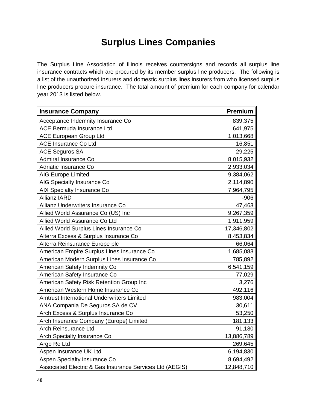# **Surplus Lines Companies**

<span id="page-48-0"></span>The Surplus Line Association of Illinois receives countersigns and records all surplus line insurance contracts which are procured by its member surplus line producers. The following is a list of the unauthorized insurers and domestic surplus lines insurers from who licensed surplus line producers procure insurance. The total amount of premium for each company for calendar year 2013 is listed below.

| <b>Insurance Company</b>                                 | <b>Premium</b> |
|----------------------------------------------------------|----------------|
| Acceptance Indemnity Insurance Co                        | 839,375        |
| <b>ACE Bermuda Insurance Ltd</b>                         | 641,975        |
| <b>ACE European Group Ltd</b>                            | 1,013,668      |
| <b>ACE Insurance Co Ltd</b>                              | 16,851         |
| <b>ACE Seguros SA</b>                                    | 29,225         |
| <b>Admiral Insurance Co</b>                              | 8,015,932      |
| Adriatic Insurance Co                                    | 2,933,034      |
| <b>AIG Europe Limited</b>                                | 9,384,062      |
| AIG Specialty Insurance Co                               | 2,114,890      |
| AIX Specialty Insurance Co                               | 7,964,795      |
| <b>Allianz IARD</b>                                      | $-906$         |
| Allianz Underwriters Insurance Co                        | 47,463         |
| Allied World Assurance Co (US) Inc                       | 9,267,359      |
| Allied World Assurance Co Ltd                            | 1,911,959      |
| Allied World Surplus Lines Insurance Co                  | 17,346,802     |
| Alterra Excess & Surplus Insurance Co                    | 8,453,834      |
| Alterra Reinsurance Europe plc                           | 66,064         |
| American Empire Surplus Lines Insurance Co               | 1,685,083      |
| American Modern Surplus Lines Insurance Co               | 785,892        |
| American Safety Indemnity Co                             | 6,541,159      |
| American Safety Insurance Co                             | 77,029         |
| American Safety Risk Retention Group Inc                 | 3,276          |
| American Western Home Insurance Co                       | 492,116        |
| <b>Amtrust International Underwriters Limited</b>        | 983,004        |
| ANA Compania De Seguros SA de CV                         | 30,611         |
| Arch Excess & Surplus Insurance Co                       | 53,250         |
| Arch Insurance Company (Europe) Limited                  | 181,133        |
| Arch Reinsurance Ltd                                     | 91,180         |
| Arch Specialty Insurance Co                              | 13,886,789     |
| Argo Re Ltd                                              | 269,645        |
| Aspen Insurance UK Ltd                                   | 6,194,830      |
| Aspen Specialty Insurance Co                             | 8,694,492      |
| Associated Electric & Gas Insurance Services Ltd (AEGIS) | 12,848,710     |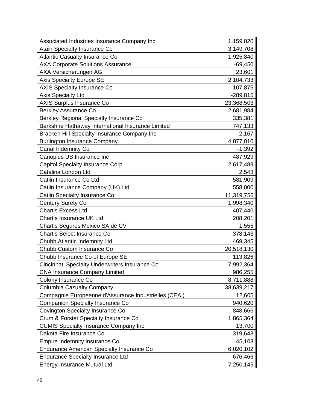| Associated Industries Insurance Company Inc           | 1,159,820  |
|-------------------------------------------------------|------------|
| Atain Specialty Insurance Co                          | 3,149,708  |
| <b>Atlantic Casualty Insurance Co</b>                 | 1,925,840  |
| <b>AXA Corporate Solutions Assurance</b>              | $-69,450$  |
| AXA Versicherungen AG                                 | 23,601     |
| <b>Axis Specialty Europe SE</b>                       | 2,104,733  |
| <b>AXIS Specialty Insurance Co</b>                    | 107,875    |
| <b>Axis Specialty Ltd</b>                             | $-289,815$ |
| <b>AXIS Surplus Insurance Co</b>                      | 23,368,503 |
| <b>Berkley Assurance Co</b>                           | 2,681,984  |
| Berkley Regional Specialty Insurance Co               | 335,381    |
| Berkshire Hathaway International Insurance Limited    | 747,133    |
| Bracken Hill Specialty Insurance Company Inc          | 2,167      |
| <b>Burlington Insurance Company</b>                   | 4,877,010  |
| Canal Indemnity Co                                    | $-1,392$   |
| Canopius US Insurance Inc                             | 487,929    |
| Capitol Specialty Insurance Corp                      | 2,617,489  |
| Catalina London Ltd                                   | 2,543      |
| Catlin Insurance Co Ltd                               | 581,909    |
| Catlin Insurance Company (UK) Ltd                     | 558,000    |
| Catlin Specialty Insurance Co                         | 11,319,756 |
| <b>Century Surety Co</b>                              | 1,998,340  |
| <b>Chartis Excess Ltd</b>                             | 407,440    |
| Chartis Insurance UK Ltd                              | 208,201    |
| Chartis Seguros Mexico SA de CV                       | 1,555      |
| <b>Chartis Select Insurance Co</b>                    | 378,143    |
| Chubb Atlantic Indemnity Ltd                          | 469,345    |
| Chubb Custom Insurance Co                             | 20,518,130 |
| Chubb Insurance Co of Europe SE                       | 113,826    |
| Cincinnati Specialty Underwriters Insurance Co        | 7,992,364  |
| <b>CNA Insurance Company Limited</b>                  | 986,255    |
| Colony Insurance Co                                   | 8,711,888  |
| <b>Columbia Casualty Company</b>                      | 38,639,217 |
| Compagnie Europeenne d'Assurance Industrielles (CEAI) | 12,605     |
| <b>Companion Specialty Insurance Co</b>               | 940,620    |
| Covington Specialty Insurance Co                      | 848,666    |
| Crum & Forster Specialty Insurance Co                 | 1,865,364  |
| <b>CUMIS Specialty Insurance Company Inc</b>          | 13,700     |
| Dakota Fire Insurance Co                              | 319,643    |
| Empire Indemnity Insurance Co                         | 45,103     |
| Endurance American Specialty Insurance Co             | 6,020,102  |
| <b>Endurance Specialty Insurance Ltd</b>              | 676,466    |
| Energy Insurance Mutual Ltd                           | 7,250,145  |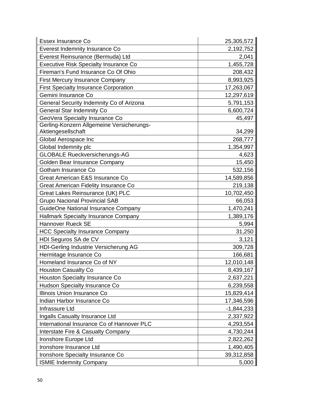| Essex Insurance Co                           | 25,305,572   |
|----------------------------------------------|--------------|
| Everest Indemnity Insurance Co               | 2,192,752    |
| Everest Reinsurance (Bermuda) Ltd            | 2,041        |
| <b>Executive Risk Specialty Insurance Co</b> | 1,455,728    |
| Fireman's Fund Insurance Co Of Ohio          | 208,432      |
| <b>First Mercury Insurance Company</b>       | 8,993,925    |
| <b>First Specialty Insurance Corporation</b> | 17,263,067   |
| Gemini Insurance Co                          | 12,297,619   |
| General Security Indemnity Co of Arizona     | 5,791,153    |
| <b>General Star Indemnity Co</b>             | 6,600,724    |
| GeoVera Specialty Insurance Co               | 45,497       |
| Gerling-Konzern Allgemeine Versicherungs-    |              |
| Aktiengesellschaft                           | 34,299       |
| Global Aerospace Inc                         | 268,777      |
| Global Indemnity plc                         | 1,354,997    |
| <b>GLOBALE Rueckversicherungs-AG</b>         | 4,623        |
| Golden Bear Insurance Company                | 15,450       |
| Gotham Insurance Co                          | 532,156      |
| Great American E&S Insurance Co              | 14,589,856   |
| Great American Fidelity Insurance Co         | 219,138      |
| Great Lakes Reinsurance (UK) PLC             | 10,702,450   |
| <b>Grupo Nacional Provincial SAB</b>         | 66,053       |
| GuideOne National Insurance Company          | 1,470,241    |
| Hallmark Specialty Insurance Company         | 1,389,176    |
| <b>Hannover Rueck SE</b>                     | 5,994        |
| <b>HCC Specialty Insurance Company</b>       | 31,250       |
| HDI Seguros SA de CV                         | 3,121        |
| HDI-Gerling Industrie Versicherung AG        | 309,728      |
| Hermitage Insurance Co                       | 166,681      |
| Homeland Insurance Co of NY                  | 12,010,148   |
| Houston Casualty Co                          | 8,439,167    |
| Houston Specialty Insurance Co               | 2,637,221    |
| Hudson Specialty Insurance Co                | 6,239,558    |
| Illinois Union Insurance Co                  | 15,829,414   |
| Indian Harbor Insurance Co                   | 17,346,596   |
| Infrassure Ltd                               | $-1,844,233$ |
| Ingalls Casualty Insurance Ltd               | 2,337,922    |
| International Insurance Co of Hannover PLC   | 4,293,554    |
| Interstate Fire & Casualty Company           | 4,730,244    |
| Ironshore Europe Ltd                         | 2,822,262    |
| Ironshore Insurance Ltd                      | 1,490,405    |
| Ironshore Specialty Insurance Co             | 39,312,858   |
| <b>ISMIE Indemnity Company</b>               | 5,000        |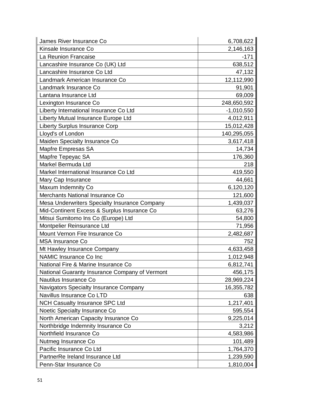| James River Insurance Co                       | 6,708,622    |
|------------------------------------------------|--------------|
| Kinsale Insurance Co                           | 2,146,163    |
| La Reunion Francaise                           | $-171$       |
| Lancashire Insurance Co (UK) Ltd               | 638,512      |
| Lancashire Insurance Co Ltd                    | 47,132       |
| Landmark American Insurance Co                 | 12,112,990   |
| Landmark Insurance Co                          | 91,901       |
| Lantana Insurance Ltd                          | 69,009       |
| Lexington Insurance Co                         | 248,650,592  |
| Liberty International Insurance Co Ltd         | $-1,010,550$ |
| Liberty Mutual Insurance Europe Ltd            | 4,012,911    |
| <b>Liberty Surplus Insurance Corp</b>          | 15,012,428   |
| Lloyd's of London                              | 140,295,055  |
| Maiden Specialty Insurance Co                  | 3,617,418    |
| Mapfre Empresas SA                             | 14,734       |
| Mapfre Tepeyac SA                              | 176,360      |
| Markel Bermuda Ltd                             | 218          |
| Markel International Insurance Co Ltd          | 419,550      |
| Mary Cap Insurance                             | 44,661       |
| Maxum Indemnity Co                             | 6,120,120    |
| Merchants National Insurance Co                | 121,600      |
| Mesa Underwriters Specialty Insurance Company  | 1,439,037    |
| Mid-Continent Excess & Surplus Insurance Co    | 63,276       |
| Mitsui Sumitomo Ins Co (Europe) Ltd            | 54,800       |
| Montpelier Reinsurance Ltd                     | 71,956       |
| Mount Vernon Fire Insurance Co                 | 2,482,687    |
| <b>MSA Insurance Co</b>                        | 752          |
| Mt Hawley Insurance Company                    | 4,633,458    |
| NAMIC Insurance Co Inc                         | 1,012,948    |
| National Fire & Marine Insurance Co            | 6,812,741    |
| National Guaranty Insurance Company of Vermont | 456,175      |
| Nautilus Insurance Co                          | 28,969,224   |
| Navigators Specialty Insurance Company         | 16,355,782   |
| Navillus Insurance Co LTD                      | 638          |
| <b>NCH Casualty Insurance SPC Ltd</b>          | 1,217,401    |
| Noetic Specialty Insurance Co                  | 595,554      |
| North American Capacity Insurance Co           | 9,225,014    |
| Northbridge Indemnity Insurance Co             | 3,212        |
| Northfield Insurance Co                        | 4,583,986    |
| Nutmeg Insurance Co                            | 101,489      |
| Pacific Insurance Co Ltd                       | 1,764,370    |
| PartnerRe Ireland Insurance Ltd                | 1,239,590    |
| Penn-Star Insurance Co                         | 1,810,004    |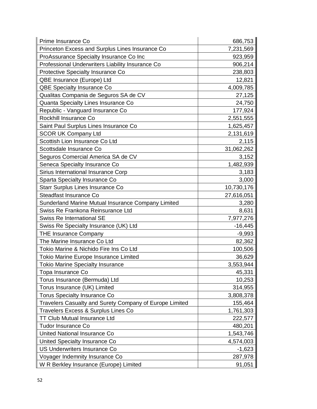| Prime Insurance Co                                      | 686,753    |
|---------------------------------------------------------|------------|
| Princeton Excess and Surplus Lines Insurance Co         | 7,231,569  |
| ProAssurance Specialty Insurance Co Inc                 | 923,959    |
| Professional Underwriters Liability Insurance Co        | 906,214    |
| Protective Specialty Insurance Co                       | 238,803    |
| QBE Insurance (Europe) Ltd                              | 12,821     |
| QBE Specialty Insurance Co                              | 4,009,785  |
| Qualitas Compania de Seguros SA de CV                   | 27,125     |
| Quanta Specialty Lines Insurance Co                     | 24,750     |
| Republic - Vanguard Insurance Co                        | 177,924    |
| Rockhill Insurance Co                                   | 2,551,555  |
| Saint Paul Surplus Lines Insurance Co                   | 1,625,457  |
| <b>SCOR UK Company Ltd</b>                              | 2,131,619  |
| Scottish Lion Insurance Co Ltd                          | 2,115      |
| Scottsdale Insurance Co                                 | 31,062,262 |
| Seguros Comercial America SA de CV                      | 3,152      |
| Seneca Specialty Insurance Co                           | 1,482,939  |
| Sirius International Insurance Corp                     | 3,183      |
| Sparta Specialty Insurance Co                           | 3,000      |
| Starr Surplus Lines Insurance Co                        | 10,730,176 |
| Steadfast Insurance Co                                  | 27,616,051 |
| Sunderland Marine Mutual Insurance Company Limited      | 3,280      |
| Swiss Re Frankona Reinsurance Ltd                       | 8,631      |
| <b>Swiss Re International SE</b>                        | 7,977,276  |
| Swiss Re Specialty Insurance (UK) Ltd                   | $-16,445$  |
| <b>THE Insurance Company</b>                            | $-9,993$   |
| The Marine Insurance Co Ltd                             | 82,362     |
| Tokio Marine & Nichido Fire Ins Co Ltd                  | 100,506    |
| Tokio Marine Europe Insurance Limited                   | 36,629     |
| <b>Tokio Marine Specialty Insurance</b>                 | 3,553,944  |
| Topa Insurance Co                                       | 45,331     |
| Torus Insurance (Bermuda) Ltd                           | 10,253     |
| Torus Insurance (UK) Limited                            | 314,955    |
| <b>Torus Specialty Insurance Co</b>                     | 3,808,378  |
| Travelers Casualty and Surety Company of Europe Limited | 155,464    |
| Travelers Excess & Surplus Lines Co                     | 1,761,303  |
| <b>TT Club Mutual Insurance Ltd</b>                     | 222,577    |
| <b>Tudor Insurance Co</b>                               | 480,201    |
| United National Insurance Co                            | 1,543,746  |
| United Specialty Insurance Co                           | 4,574,003  |
| <b>US Underwriters Insurance Co</b>                     | $-1,623$   |
| Voyager Indemnity Insurance Co                          | 287,978    |
| W R Berkley Insurance (Europe) Limited                  | 91,051     |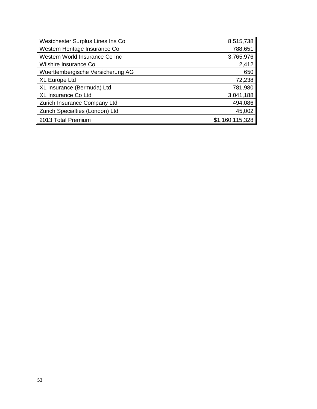| Westchester Surplus Lines Ins Co  | 8,515,738       |
|-----------------------------------|-----------------|
| Western Heritage Insurance Co     | 788,651         |
| Western World Insurance Co Inc    | 3,765,976       |
| Wilshire Insurance Co             | 2,412           |
| Wuerttembergische Versicherung AG | 650             |
| <b>XL Europe Ltd</b>              | 72,238          |
| XL Insurance (Bermuda) Ltd        | 781,980         |
| XL Insurance Co Ltd               | 3,041,188       |
| Zurich Insurance Company Ltd      | 494,086         |
| Zurich Specialties (London) Ltd   | 45,002          |
| 2013 Total Premium                | \$1,160,115,328 |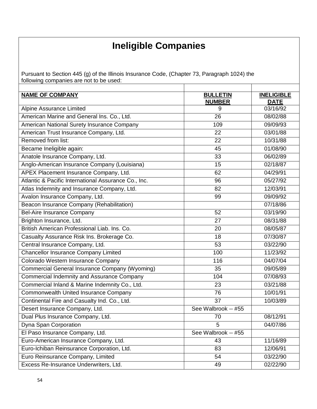# **Ineligible Companies**

<span id="page-54-0"></span>Pursuant to Section 445 (g) of the Illinois Insurance Code, (Chapter 73, Paragraph 1024) the following companies are not to be used:

| <b>NAME OF COMPANY</b>                               | <b>BULLETIN</b>     | <b>INELIGIBLE</b>       |
|------------------------------------------------------|---------------------|-------------------------|
|                                                      | <b>NUMBER</b>       | <b>DATE</b><br>03/16/92 |
| Alpine Assurance Limited                             | 9                   |                         |
| American Marine and General Ins. Co., Ltd.           | 26                  | 08/02/88                |
| American National Surety Insurance Company           | 109                 | 09/09/93                |
| American Trust Insurance Company, Ltd.               | 22                  | 03/01/88                |
| Removed from list:                                   | 22                  | 10/31/88                |
| Became Ineligible again:                             | 45                  | 01/08/90                |
| Anatole Insurance Company, Ltd.                      | 33                  | 06/02/89                |
| Anglo-American Insurance Company (Louisiana)         | 15                  | 02/18/87                |
| APEX Placement Insurance Company, Ltd.               | 62                  | 04/29/91                |
| Atlantic & Pacific International Assurance Co., Inc. | 96                  | 05/27/92                |
| Atlas Indemnity and Insurance Company, Ltd.          | 82                  | 12/03/91                |
| Avalon Insurance Company, Ltd.                       | 99                  | 09/09/92                |
| Beacon Insurance Company (Rehabilitation)            |                     | 07/18/86                |
| <b>Bel-Aire Insurance Company</b>                    | 52                  | 03/19/90                |
| Brighton Insurance, Ltd.                             | 27                  | 08/31/88                |
| British American Professional Liab. Ins. Co.         | 20                  | 08/05/87                |
| Casualty Assurance Risk Ins. Brokerage Co.           | 18                  | 07/30/87                |
| Central Insurance Company, Ltd.                      | 53                  | 03/22/90                |
| <b>Chancellor Insurance Company Limited</b>          | 100                 | 11/23/92                |
| Colorado Western Insurance Company                   | 116                 | $04/07/\overline{04}$   |
| Commercial General Insurance Company (Wyoming)       | 35                  | 09/05/89                |
| Commercial Indemnity and Assurance Company           | 104                 | 07/08/93                |
| Commercial Inland & Marine Indemnity Co., Ltd.       | 23                  | 03/21/88                |
| Commonwealth United Insurance Company                | 76                  | 10/01/91                |
| Continental Fire and Casualty Ind. Co., Ltd.         | 37                  | 10/03/89                |
| Desert Insurance Company, Ltd.                       | See Walbrook -- #55 |                         |
| Dual Plus Insurance Company, Ltd.                    | 70                  | 08/12/91                |
| Dyna Span Corporation                                | 5                   | 04/07/86                |
| El Paso Insurance Company, Ltd.                      | See Walbrook -- #55 |                         |
| Euro-American Insurance Company, Ltd.                | 43                  | 11/16/89                |
| Euro-Ichiban Reinsurance Corporation, Ltd.           | 83                  | 12/06/91                |
| Euro Reinsurance Company, Limited                    | 54                  | 03/22/90                |
| Excess Re-Insurance Underwriters, Ltd.               | 49                  | 02/22/90                |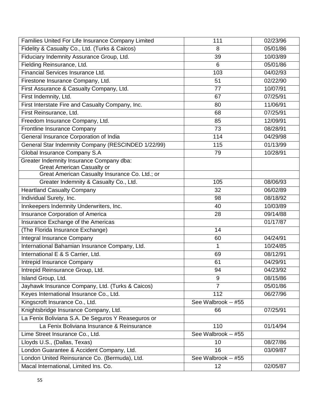| Families United For Life Insurance Company Limited | 111                 | 02/23/96 |
|----------------------------------------------------|---------------------|----------|
| Fidelity & Casualty Co., Ltd. (Turks & Caicos)     | 8                   | 05/01/86 |
| Fiduciary Indemnity Assurance Group, Ltd.          | 39                  | 10/03/89 |
| Fielding Reinsurance, Ltd.                         | $6\phantom{1}$      | 05/01/86 |
| Financial Services Insurance Ltd.                  | 103                 | 04/02/93 |
| Firestone Insurance Company, Ltd.                  | 51                  | 02/22/90 |
| First Assurance & Casualty Company, Ltd.           | 77                  | 10/07/91 |
| First Indemnity, Ltd.                              | 67                  | 07/25/91 |
| First Interstate Fire and Casualty Company, Inc.   | 80                  | 11/06/91 |
| First Reinsurance, Ltd.                            | 68                  | 07/25/91 |
| Freedom Insurance Company, Ltd.                    | 85                  | 12/09/91 |
| Frontline Insurance Company                        | 73                  | 08/28/91 |
| General Insurance Corporation of India             | 114                 | 04/29/98 |
| General Star Indemnity Company (RESCINDED 1/22/99) | 115                 | 01/13/99 |
| Global Insurance Company S.A                       | 79                  | 10/28/91 |
| Greater Indemnity Insurance Company dba:           |                     |          |
| <b>Great American Casualty or</b>                  |                     |          |
| Great American Casualty Insurance Co. Ltd.; or     |                     |          |
| Greater Indemnity & Casualty Co., Ltd.             | 105                 | 08/06/93 |
| <b>Heartland Casualty Company</b>                  | 32                  | 06/02/89 |
| Individual Surety, Inc.                            | 98                  | 08/18/92 |
| Innkeepers Indemnity Underwriters, Inc.            | 40                  | 10/03/89 |
| Insurance Corporation of America                   | 28                  | 09/14/88 |
| Insurance Exchange of the Americas                 |                     | 01/17/87 |
| (The Florida Insurance Exchange)                   | 14                  |          |
| Integral Insurance Company                         | 60                  | 04/24/91 |
| International Bahamian Insurance Company, Ltd.     | 1                   | 10/24/85 |
| International E & S Carrier, Ltd.                  | 69                  | 08/12/91 |
| Intrepid Insurance Company                         | 61                  | 04/29/91 |
| Intrepid Reinsurance Group, Ltd.                   | 94                  | 04/23/92 |
| Island Group, Ltd.                                 | 9                   | 08/15/86 |
| Jayhawk Insurance Company, Ltd. (Turks & Caicos)   | $\overline{7}$      | 05/01/86 |
| Keyes International Insurance Co., Ltd.            | 112                 | 06/27/96 |
| Kingscroft Insurance Co., Ltd.                     | See Walbrook -- #55 |          |
| Knightsbridge Insurance Company, Ltd.              | 66                  | 07/25/91 |
| La Fenix Boliviana S.A. De Seguros Y Reaseguros or |                     |          |
| La Fenix Boliviana Insurance & Reinsurance         | 110                 | 01/14/94 |
| Lime Street Insurance Co., Ltd.                    | See Walbrook -- #55 |          |
| Lloyds U.S., (Dallas, Texas)                       | 10                  | 08/27/86 |
| London Guarantee & Accident Company, Ltd.          | 16                  | 03/09/87 |
| London United Reinsurance Co. (Bermuda), Ltd.      | See Walbrook -- #55 |          |
| Macal International, Limited Ins. Co.              | 12                  | 02/05/87 |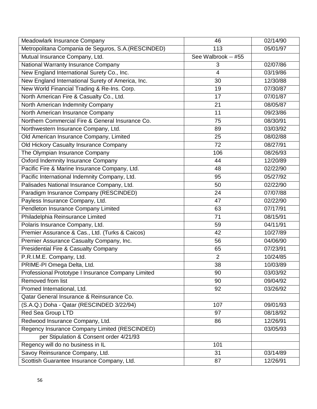| Meadowlark Insurance Company                        | 46                  | 02/14/90 |
|-----------------------------------------------------|---------------------|----------|
| Metropolitana Compania de Seguros, S.A. (RESCINDED) | 113                 | 05/01/97 |
| Mutual Insurance Company, Ltd.                      | See Walbrook -- #55 |          |
| National Warranty Insurance Company                 | 3                   | 02/07/86 |
| New England International Surety Co., Inc.          | $\overline{4}$      | 03/19/86 |
| New England International Surety of America, Inc.   | 30                  | 12/30/88 |
| New World Financial Trading & Re-Ins. Corp.         | 19                  | 07/30/87 |
| North American Fire & Casualty Co., Ltd.            | 17                  | 07/01/87 |
| North American Indemnity Company                    | 21                  | 08/05/87 |
| North American Insurance Company                    | 11                  | 09/23/86 |
| Northern Commercial Fire & General Insurance Co.    | 75                  | 08/30/91 |
| Northwestern Insurance Company, Ltd.                | 89                  | 03/03/92 |
| Old American Insurance Company, Limited             | 25                  | 08/02/88 |
| Old Hickory Casualty Insurance Company              | 72                  | 08/27/91 |
| The Olympian Insurance Company                      | 106                 | 08/26/93 |
| <b>Oxford Indemnity Insurance Company</b>           | 44                  | 12/20/89 |
| Pacific Fire & Marine Insurance Company, Ltd.       | 48                  | 02/22/90 |
| Pacific International Indemnity Company, Ltd.       | 95                  | 05/27/92 |
| Palisades National Insurance Company, Ltd.          | 50                  | 02/22/90 |
| Paradigm Insurance Company (RESCINDED)              | 24                  | 07/07/88 |
| Payless Insurance Company, Ltd.                     | 47                  | 02/22/90 |
| Pendleton Insurance Company Limited                 | 63                  | 07/17/91 |
| Philadelphia Reinsurance Limited                    | 71                  | 08/15/91 |
| Polaris Insurance Company, Ltd.                     | 59                  | 04/11/91 |
| Premier Assurance & Cas., Ltd. (Turks & Caicos)     | 42                  | 10/27/89 |
| Premier Assurance Casualty Company, Inc.            | 56                  | 04/06/90 |
| <b>Presidential Fire &amp; Casualty Company</b>     | 65                  | 07/23/91 |
| P.R.I.M.E. Company, Ltd.                            | $\overline{2}$      | 10/24/85 |
| PRIME-PI Omega Delta, Ltd.                          | 38                  | 10/03/89 |
| Professional Prototype I Insurance Company Limited  | 90                  | 03/03/92 |
| Removed from list                                   | 90                  | 09/04/92 |
| Promed International, Ltd.                          | 92                  | 03/26/92 |
| Qatar General Insurance & Reinsurance Co.           |                     |          |
| (S.A.Q.) Doha - Qatar (RESCINDED 3/22/94)           | 107                 | 09/01/93 |
| Red Sea Group LTD                                   | 97                  | 08/18/92 |
| Redwood Insurance Company, Ltd.                     | 86                  | 12/26/91 |
| Regency Insurance Company Limited (RESCINDED)       |                     | 03/05/93 |
| per Stipulation & Consent order 4/21/93             |                     |          |
| Regency will do no business in IL                   | 101                 |          |
| Savoy Reinsurance Company, Ltd.                     | 31                  | 03/14/89 |
| Scottish Guarantee Insurance Company, Ltd.          | 87                  | 12/26/91 |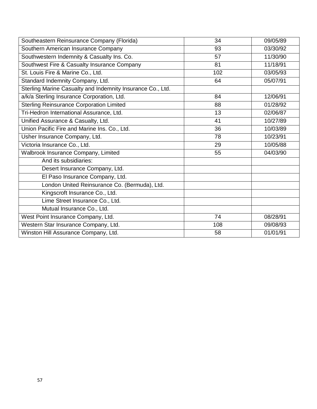| Southeastern Reinsurance Company (Florida)                 | 34  | 09/05/89 |
|------------------------------------------------------------|-----|----------|
| Southern American Insurance Company                        | 93  | 03/30/92 |
| Southwestern Indemnity & Casualty Ins. Co.                 | 57  | 11/30/90 |
| Southwest Fire & Casualty Insurance Company                | 81  | 11/18/91 |
| St. Louis Fire & Marine Co., Ltd.                          | 102 | 03/05/93 |
| Standard Indemnity Company, Ltd.                           | 64  | 05/07/91 |
| Sterling Marine Casualty and Indemnity Insurance Co., Ltd. |     |          |
| a/k/a Sterling Insurance Corporation, Ltd.                 | 84  | 12/06/91 |
| <b>Sterling Reinsurance Corporation Limited</b>            | 88  | 01/28/92 |
| Tri-Hedron International Assurance, Ltd.                   | 13  | 02/06/87 |
| Unified Assurance & Casualty, Ltd.                         | 41  | 10/27/89 |
| Union Pacific Fire and Marine Ins. Co., Ltd.               | 36  | 10/03/89 |
| Usher Insurance Company, Ltd.                              | 78  | 10/23/91 |
| Victoria Insurance Co., Ltd.                               | 29  | 10/05/88 |
| Walbrook Insurance Company, Limited                        | 55  | 04/03/90 |
| And its subsidiaries:                                      |     |          |
| Desert Insurance Company, Ltd.                             |     |          |
| El Paso Insurance Company, Ltd.                            |     |          |
| London United Reinsurance Co. (Bermuda), Ltd.              |     |          |
| Kingscroft Insurance Co., Ltd.                             |     |          |
| Lime Street Insurance Co., Ltd.                            |     |          |
| Mutual Insurance Co., Ltd.                                 |     |          |
| West Point Insurance Company, Ltd.                         | 74  | 08/28/91 |
| Western Star Insurance Company, Ltd.                       | 108 | 09/08/93 |
| Winston Hill Assurance Company, Ltd.                       | 58  | 01/01/91 |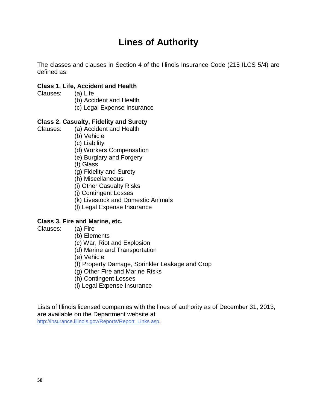# **Lines of Authority**

<span id="page-58-0"></span>The classes and clauses in Section 4 of the Illinois Insurance Code (215 ILCS 5/4) are defined as:

#### **Class 1. Life, Accident and Health**

- Clauses: (a) Life
	- (b) Accident and Health
	- (c) Legal Expense Insurance

#### **Class 2. Casualty, Fidelity and Surety**

- Clauses: (a) Accident and Health
	- (b) Vehicle
	- (c) Liability
	- (d) Workers Compensation
	- (e) Burglary and Forgery
	- (f) Glass
	- (g) Fidelity and Surety
	- (h) Miscellaneous
	- (i) Other Casualty Risks
	- (j) Contingent Losses
	- (k) Livestock and Domestic Animals
	- (l) Legal Expense Insurance

#### **Class 3. Fire and Marine, etc.**

- Clauses: (a) Fire
	- (b) Elements
	- (c) War, Riot and Explosion
	- (d) Marine and Transportation
	- (e) Vehicle
	- (f) Property Damage, Sprinkler Leakage and Crop
	- (g) Other Fire and Marine Risks
	- (h) Contingent Losses
	- (i) Legal Expense Insurance

Lists of Illinois licensed companies with the lines of authority as of December 31, 2013, are available on the Department website at [http://insurance.illinois.gov/Reports/Report\\_Links.asp.](http://insurance.illinois.gov/Reports/Report_Links.asp)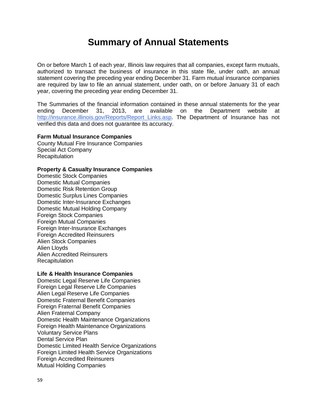### **Summary of Annual Statements**

<span id="page-59-0"></span>On or before March 1 of each year, Illinois law requires that all companies, except farm mutuals, authorized to transact the business of insurance in this state file, under oath, an annual statement covering the preceding year ending December 31. Farm mutual insurance companies are required by law to file an annual statement, under oath, on or before January 31 of each year, covering the preceding year ending December 31.

The Summaries of the financial information contained in these annual statements for the year ending December 31, 2013, are available on the Department website at [http://insurance.illinois.gov/Reports/Report\\_Links.asp.](http://insurance.illinois.gov/Reports/Report_Links.asp) The Department of Insurance has not verified this data and does not guarantee its accuracy.

#### **Farm Mutual Insurance Companies**

County Mutual Fire Insurance Companies Special Act Company Recapitulation

#### **Property & Casualty Insurance Companies**

Domestic Stock Companies Domestic Mutual Companies Domestic Risk Retention Group Domestic Surplus Lines Companies Domestic Inter-Insurance Exchanges Domestic Mutual Holding Company Foreign Stock Companies Foreign Mutual Companies Foreign Inter-Insurance Exchanges Foreign Accredited Reinsurers Alien Stock Companies Alien Lloyds Alien Accredited Reinsurers **Recapitulation** 

#### **Life & Health Insurance Companies**

Domestic Legal Reserve Life Companies Foreign Legal Reserve Life Companies Alien Legal Reserve Life Companies Domestic Fraternal Benefit Companies Foreign Fraternal Benefit Companies Alien Fraternal Company Domestic Health Maintenance Organizations Foreign Health Maintenance Organizations Voluntary Service Plans Dental Service Plan Domestic Limited Health Service Organizations Foreign Limited Health Service Organizations Foreign Accredited Reinsurers Mutual Holding Companies